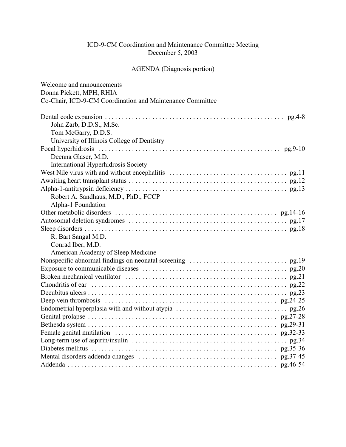### ICD-9-CM Coordination and Maintenance Committee Meeting December 5, 2003

# AGENDA (Diagnosis portion)

| Welcome and announcements                                                                                           |
|---------------------------------------------------------------------------------------------------------------------|
| Donna Pickett, MPH, RHIA                                                                                            |
| Co-Chair, ICD-9-CM Coordination and Maintenance Committee                                                           |
|                                                                                                                     |
| John Zarb, D.D.S., M.Sc.                                                                                            |
| Tom McGarry, D.D.S.                                                                                                 |
| University of Illinois College of Dentistry                                                                         |
|                                                                                                                     |
| Deenna Glaser, M.D.                                                                                                 |
| International Hyperhidrosis Society                                                                                 |
|                                                                                                                     |
|                                                                                                                     |
|                                                                                                                     |
| Robert A. Sandhaus, M.D., PhD., FCCP                                                                                |
| Alpha-1 Foundation                                                                                                  |
|                                                                                                                     |
|                                                                                                                     |
|                                                                                                                     |
| R. Bart Sangal M.D.                                                                                                 |
| Conrad Iber, M.D.                                                                                                   |
| American Academy of Sleep Medicine                                                                                  |
|                                                                                                                     |
|                                                                                                                     |
|                                                                                                                     |
|                                                                                                                     |
|                                                                                                                     |
| Deep vein thrombosis $\dots \dots \dots \dots \dots \dots \dots \dots \dots \dots \dots \dots \dots \dots$ pg.24-25 |
|                                                                                                                     |
|                                                                                                                     |
|                                                                                                                     |
|                                                                                                                     |
|                                                                                                                     |
|                                                                                                                     |
|                                                                                                                     |
|                                                                                                                     |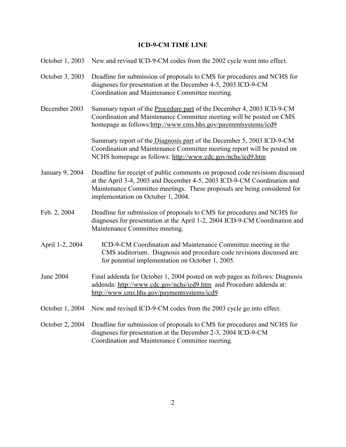# **ICD-9-CM TIME LINE**

| October 1, 2003  | New and revised ICD-9-CM codes from the 2002 cycle went into effect.                                                                                                                                                                                                      |
|------------------|---------------------------------------------------------------------------------------------------------------------------------------------------------------------------------------------------------------------------------------------------------------------------|
| October 3, 2003  | Deadline for submission of proposals to CMS for procedures and NCHS for<br>diagnoses for presentation at the December 4-5, 2003 ICD-9-CM<br>Coordination and Maintenance Committee meeting.                                                                               |
| December 2003    | Summary report of the Procedure part of the December 4, 2003 ICD-9-CM<br>Coordination and Maintenance Committee meeting will be posted on CMS<br>homepage as follows:http://www.cms.hhs.gov/paymentsystems/icd9                                                           |
|                  | Summary report of the Diagnosis part of the December 5, 2003 ICD-9-CM<br>Coordination and Maintenance Committee meeting report will be posted on<br>NCHS homepage as follows: http://www.cdc.gov/nchs/icd9.htm                                                            |
| January 9, 2004  | Deadline for receipt of public comments on proposed code revisions discussed<br>at the April 3-4, 2003 and December 4-5, 2003 ICD-9-CM Coordination and<br>Maintenance Committee meetings. These proposals are being considered for<br>implementation on October 1, 2004. |
| Feb. 2, 2004     | Deadline for submission of proposals to CMS for procedures and NCHS for<br>diagnoses for presentation at the April 1-2, 2004 ICD-9-CM Coordination and<br>Maintenance Committee meeting.                                                                                  |
| April 1-2, 2004  | ICD-9-CM Coordination and Maintenance Committee meeting in the<br>CMS auditorium. Diagnosis and procedure code revisions discussed are<br>for potential implementation on October 1, 2005.                                                                                |
| <b>June 2004</b> | Final addenda for October 1, 2004 posted on web pages as follows: Diagnosis<br>addenda: http://www.cdc.gov/nchs/icd9.htm and Procedure addenda at:<br>http://www.cms.hhs.gov/paymentsystems/icd9                                                                          |
| October 1, 2004  | New and revised ICD-9-CM codes from the 2003 cycle go into effect.                                                                                                                                                                                                        |
| October 2, 2004  | Deadline for submission of proposals to CMS for procedures and NCHS for<br>diagnoses for presentation at the December 2-3, 2004 ICD-9-CM<br>Coordination and Maintenance Committee meeting.                                                                               |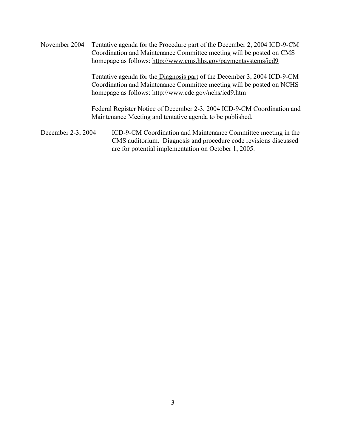November 2004 Tentative agenda for the Procedure part of the December 2, 2004 ICD-9-CM Coordination and Maintenance Committee meeting will be posted on CMS homepage as follows: http://www.cms.hhs.gov/paymentsystems/icd9

> Tentative agenda for the Diagnosis part of the December 3, 2004 ICD-9-CM Coordination and Maintenance Committee meeting will be posted on NCHS homepage as follows: http://www.cdc.gov/nchs/icd9.htm

Federal Register Notice of December 2-3, 2004 ICD-9-CM Coordination and Maintenance Meeting and tentative agenda to be published.

December 2-3, 2004 ICD-9-CM Coordination and Maintenance Committee meeting in the CMS auditorium. Diagnosis and procedure code revisions discussed are for potential implementation on October 1, 2005.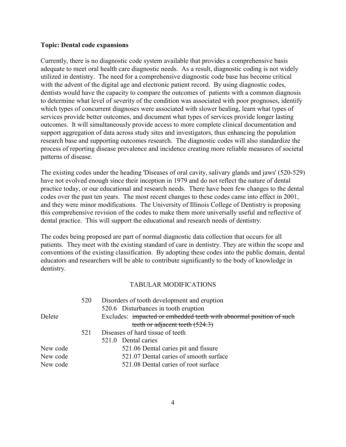#### **Topic: Dental code expansions**

Currently, there is no diagnostic code system available that provides a comprehensive basis adequate to meet oral health care diagnostic needs. As a result, diagnostic coding is not widely utilized in dentistry. The need for a comprehensive diagnostic code base has become critical with the advent of the digital age and electronic patient record. By using diagnostic codes, dentists would have the capacity to compare the outcomes of patients with a common diagnosis to determine what level of severity of the condition was associated with poor prognoses, identify which types of concurrent diagnoses were associated with slower healing, learn what types of services provide better outcomes, and document what types of services provide longer lasting outcomes. It will simultaneously provide access to more complete clinical documentation and support aggregation of data across study sites and investigators, thus enhancing the population research base and supporting outcomes research. The diagnostic codes will also standardize the process of reporting disease prevalence and incidence creating more reliable measures of societal patterns of disease.

The existing codes under the heading 'Diseases of oral cavity, salivary glands and jaws' (520-529) have not evolved enough since their inception in 1979 and do not reflect the nature of dental practice today, or our educational and research needs. There have been few changes to the dental codes over the past ten years. The most recent changes to these codes came into effect in 2001, and they were minor modifications. The University of Illinois College of Dentistry is proposing this comprehensive revision of the codes to make them more universally useful and reflective of dental practice. This will support the educational and research needs of dentistry.

The codes being proposed are part of normal diagnostic data collection that occurs for all patients. They meet with the existing standard of care in dentistry. They are within the scope and conventions of the existing classification. By adopting these codes into the public domain, dental educators and researchers will be able to contribute significantly to the body of knowledge in dentistry.

|          | 520 | Disorders of tooth development and eruption                         |
|----------|-----|---------------------------------------------------------------------|
|          |     | 520.6 Disturbances in tooth eruption                                |
| Delete   |     | Excludes: impacted or embedded teeth with abnormal position of such |
|          |     | teeth or adjacent teeth $(524.3)$                                   |
|          | 521 | Diseases of hard tissue of teeth                                    |
|          |     | 521.0 Dental caries                                                 |
| New code |     | 521.06 Dental caries pit and fissure                                |
| New code |     | 521.07 Dental caries of smooth surface                              |
| New code |     | 521.08 Dental caries of root surface                                |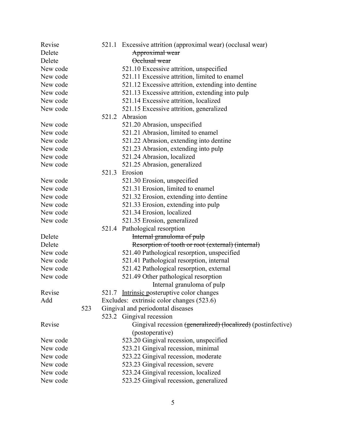| Revise   |     |       | 521.1 Excessive attrition (approximal wear) (occlusal wear)  |
|----------|-----|-------|--------------------------------------------------------------|
| Delete   |     |       | Approximal wear                                              |
| Delete   |     |       | Occlusal wear                                                |
| New code |     |       | 521.10 Excessive attrition, unspecified                      |
| New code |     |       | 521.11 Excessive attrition, limited to enamel                |
| New code |     |       | 521.12 Excessive attrition, extending into dentine           |
| New code |     |       | 521.13 Excessive attrition, extending into pulp              |
| New code |     |       | 521.14 Excessive attrition, localized                        |
| New code |     |       | 521.15 Excessive attrition, generalized                      |
|          |     | 521.2 | Abrasion                                                     |
| New code |     |       | 521.20 Abrasion, unspecified                                 |
| New code |     |       | 521.21 Abrasion, limited to enamel                           |
| New code |     |       | 521.22 Abrasion, extending into dentine                      |
| New code |     |       | 521.23 Abrasion, extending into pulp                         |
| New code |     |       | 521.24 Abrasion, localized                                   |
| New code |     |       | 521.25 Abrasion, generalized                                 |
|          |     | 521.3 | Erosion                                                      |
| New code |     |       | 521.30 Erosion, unspecified                                  |
| New code |     |       | 521.31 Erosion, limited to enamel                            |
| New code |     |       | 521.32 Erosion, extending into dentine                       |
| New code |     |       | 521.33 Erosion, extending into pulp                          |
| New code |     |       | 521.34 Erosion, localized                                    |
| New code |     |       | 521.35 Erosion, generalized                                  |
|          |     |       | 521.4 Pathological resorption                                |
| Delete   |     |       | Internal granuloma of pulp                                   |
| Delete   |     |       | Resorption of tooth or root (external) (internal)            |
| New code |     |       | 521.40 Pathological resorption, unspecified                  |
| New code |     |       | 521.41 Pathological resorption, internal                     |
| New code |     |       | 521.42 Pathological resorption, external                     |
| New code |     |       | 521.49 Other pathological resorption                         |
|          |     |       | Internal granuloma of pulp                                   |
| Revise   |     |       | 521.7 Intrinsic posteruptive color changes                   |
| Add      |     |       | Excludes: extrinsic color changes (523.6)                    |
|          | 523 |       | Gingival and periodontal diseases                            |
|          |     |       | 523.2 Gingival recession                                     |
| Revise   |     |       | Gingival recession (generalized) (localized) (postinfective) |
|          |     |       | (postoperative)                                              |
| New code |     |       | 523.20 Gingival recession, unspecified                       |
| New code |     |       | 523.21 Gingival recession, minimal                           |
| New code |     |       | 523.22 Gingival recession, moderate                          |
| New code |     |       | 523.23 Gingival recession, severe                            |
| New code |     |       | 523.24 Gingival recession, localized                         |
| New code |     |       | 523.25 Gingival recession, generalized                       |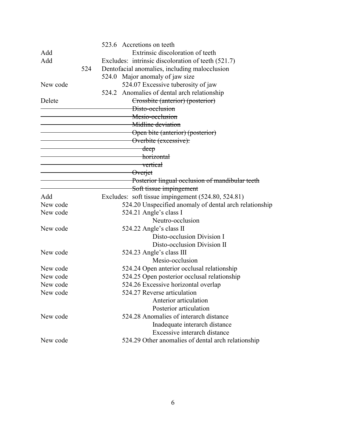|          |     | 523.6 Accretions on teeth                              |
|----------|-----|--------------------------------------------------------|
| Add      |     | Extrinsic discoloration of teeth                       |
| Add      |     | Excludes: intrinsic discoloration of teeth (521.7)     |
|          | 524 | Dentofacial anomalies, including malocclusion          |
|          |     | 524.0 Major anomaly of jaw size                        |
| New code |     | 524.07 Excessive tuberosity of jaw                     |
|          |     | 524.2 Anomalies of dental arch relationship            |
| Delete   |     | Crossbite (anterior) (posterior)                       |
|          |     | Disto-occlusion                                        |
|          |     | Mesio-occlusion                                        |
|          |     | Midline deviation                                      |
|          |     | Open bite (anterior) (posterior)                       |
|          |     | Overbite (excessive):                                  |
|          |     | deep                                                   |
|          |     | horizontal                                             |
|          |     | vertical                                               |
|          |     | <b>Overjet</b>                                         |
|          |     | Posterior lingual occlusion of mandibular teeth        |
|          |     | Soft tissue impingement                                |
| Add      |     | Excludes: soft tissue impingement (524.80, 524.81)     |
| New code |     | 524.20 Unspecified anomaly of dental arch relationship |
| New code |     | 524.21 Angle's class I                                 |
|          |     | Neutro-occlusion                                       |
| New code |     | 524.22 Angle's class II                                |
|          |     | Disto-occlusion Division I                             |
|          |     | Disto-occlusion Division II                            |
| New code |     | 524.23 Angle's class III                               |
|          |     | Mesio-occlusion                                        |
| New code |     | 524.24 Open anterior occlusal relationship             |
| New code |     | 524.25 Open posterior occlusal relationship            |
| New code |     | 524.26 Excessive horizontal overlap                    |
| New code |     | 524.27 Reverse articulation                            |
|          |     | Anterior articulation                                  |
|          |     | Posterior articulation                                 |
| New code |     | 524.28 Anomalies of interarch distance                 |
|          |     | Inadequate interarch distance                          |
|          |     | Excessive interarch distance                           |
| New code |     | 524.29 Other anomalies of dental arch relationship     |
|          |     |                                                        |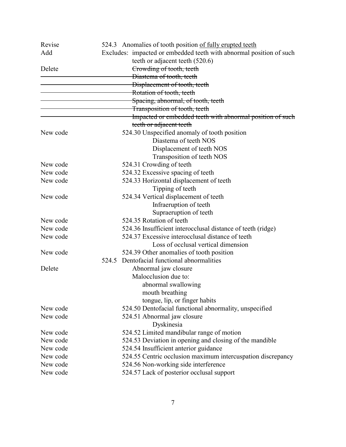| Revise   |       | 524.3 Anomalies of tooth position of fully erupted teeth            |
|----------|-------|---------------------------------------------------------------------|
| Add      |       | Excludes: impacted or embedded teeth with abnormal position of such |
|          |       | teeth or adjacent teeth (520.6)                                     |
| Delete   |       | Crowding of tooth, teeth                                            |
|          |       | Diastema of tooth, teeth                                            |
|          |       | Displacement of tooth, teeth                                        |
|          |       | Rotation of tooth, teeth                                            |
|          |       | Spacing, abnormal, of tooth, teeth                                  |
|          |       | Transposition of tooth, teeth                                       |
|          |       | Impacted or embedded teeth with abnormal position of such           |
|          |       | teeth or adjacent teeth                                             |
| New code |       | 524.30 Unspecified anomaly of tooth position                        |
|          |       | Diastema of teeth NOS                                               |
|          |       | Displacement of teeth NOS                                           |
|          |       | Transposition of teeth NOS                                          |
| New code |       | 524.31 Crowding of teeth                                            |
| New code |       | 524.32 Excessive spacing of teeth                                   |
| New code |       | 524.33 Horizontal displacement of teeth                             |
|          |       | Tipping of teeth                                                    |
| New code |       | 524.34 Vertical displacement of teeth                               |
|          |       | Infraeruption of teeth                                              |
|          |       | Supraeruption of teeth                                              |
| New code |       | 524.35 Rotation of teeth                                            |
| New code |       | 524.36 Insufficient interocclusal distance of teeth (ridge)         |
| New code |       | 524.37 Excessive interocclusal distance of teeth                    |
|          |       | Loss of occlusal vertical dimension                                 |
| New code |       | 524.39 Other anomalies of tooth position                            |
|          | 524.5 | Dentofacial functional abnormalities                                |
| Delete   |       | Abnormal jaw closure                                                |
|          |       | Malocclusion due to:                                                |
|          |       | abnormal swallowing                                                 |
|          |       | mouth breathing                                                     |
|          |       | tongue, lip, or finger habits                                       |
| New code |       | 524.50 Dentofacial functional abnormality, unspecified              |
| New code |       | 524.51 Abnormal jaw closure                                         |
|          |       | Dyskinesia                                                          |
| New code |       | 524.52 Limited mandibular range of motion                           |
| New code |       | 524.53 Deviation in opening and closing of the mandible             |
| New code |       | 524.54 Insufficient anterior guidance                               |
| New code |       | 524.55 Centric occlusion maximum intercuspation discrepancy         |
| New code |       | 524.56 Non-working side interference                                |
| New code |       | 524.57 Lack of posterior occlusal support                           |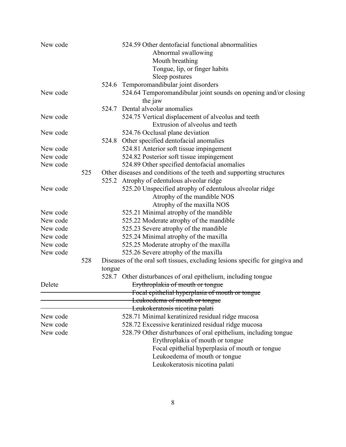| New code |     |        | 524.59 Other dentofacial functional abnormalities                             |
|----------|-----|--------|-------------------------------------------------------------------------------|
|          |     |        | Abnormal swallowing                                                           |
|          |     |        | Mouth breathing                                                               |
|          |     |        | Tongue, lip, or finger habits                                                 |
|          |     |        | Sleep postures                                                                |
|          |     | 524.6  | Temporomandibular joint disorders                                             |
| New code |     |        | 524.64 Temporomandibular joint sounds on opening and/or closing<br>the jaw    |
|          |     |        | 524.7 Dental alveolar anomalies                                               |
| New code |     |        | 524.75 Vertical displacement of alveolus and teeth                            |
|          |     |        | Extrusion of alveolus and teeth                                               |
| New code |     |        | 524.76 Occlusal plane deviation                                               |
|          |     | 524.8  | Other specified dentofacial anomalies                                         |
| New code |     |        | 524.81 Anterior soft tissue impingement                                       |
| New code |     |        | 524.82 Posterior soft tissue impingement                                      |
| New code |     |        | 524.89 Other specified dentofacial anomalies                                  |
|          | 525 |        | Other diseases and conditions of the teeth and supporting structures          |
|          |     | 525.2  | Atrophy of edentulous alveolar ridge                                          |
| New code |     |        | 525.20 Unspecified atrophy of edentulous alveolar ridge                       |
|          |     |        | Atrophy of the mandible NOS                                                   |
|          |     |        | Atrophy of the maxilla NOS                                                    |
| New code |     |        | 525.21 Minimal atrophy of the mandible                                        |
| New code |     |        | 525.22 Moderate atrophy of the mandible                                       |
| New code |     |        | 525.23 Severe atrophy of the mandible                                         |
| New code |     |        | 525.24 Minimal atrophy of the maxilla                                         |
| New code |     |        | 525.25 Moderate atrophy of the maxilla                                        |
| New code |     |        | 525.26 Severe atrophy of the maxilla                                          |
|          | 528 |        | Diseases of the oral soft tissues, excluding lesions specific for gingiva and |
|          |     | tongue |                                                                               |
|          |     |        | 528.7 Other disturbances of oral epithelium, including tongue                 |
| Delete   |     |        | Erythroplakia of mouth or tongue                                              |
|          |     |        | Focal epithelial hyperplasia of mouth or tongue                               |
|          |     |        | Leukoedema of mouth or tongue                                                 |
|          |     |        | Leukokeratosis nicotina palati                                                |
| New code |     |        | 528.71 Minimal keratinized residual ridge mucosa                              |
| New code |     |        | 528.72 Excessive keratinized residual ridge mucosa                            |
| New code |     |        | 528.79 Other disturbances of oral epithelium, including tongue                |
|          |     |        | Erythroplakia of mouth or tongue                                              |
|          |     |        | Focal epithelial hyperplasia of mouth or tongue                               |
|          |     |        | Leukoedema of mouth or tongue                                                 |
|          |     |        | Leukokeratosis nicotina palati                                                |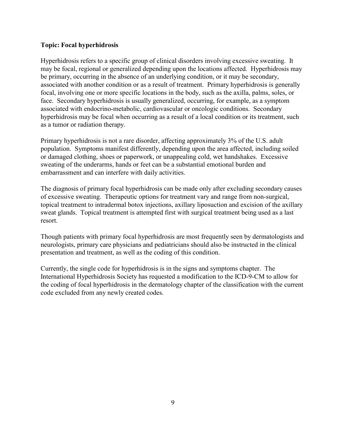#### **Topic: Focal hyperhidrosis**

Hyperhidrosis refers to a specific group of clinical disorders involving excessive sweating. It may be focal, regional or generalized depending upon the locations affected. Hyperhidrosis may be primary, occurring in the absence of an underlying condition, or it may be secondary, associated with another condition or as a result of treatment. Primary hyperhidrosis is generally focal, involving one or more specific locations in the body, such as the axilla, palms, soles, or face. Secondary hyperhidrosis is usually generalized, occurring, for example, as a symptom associated with endocrino-metabolic, cardiovascular or oncologic conditions. Secondary hyperhidrosis may be focal when occurring as a result of a local condition or its treatment, such as a tumor or radiation therapy.

Primary hyperhidrosis is not a rare disorder, affecting approximately 3% of the U.S. adult population. Symptoms manifest differently, depending upon the area affected, including soiled or damaged clothing, shoes or paperwork, or unappealing cold, wet handshakes. Excessive sweating of the underarms, hands or feet can be a substantial emotional burden and embarrassment and can interfere with daily activities.

The diagnosis of primary focal hyperhidrosis can be made only after excluding secondary causes of excessive sweating. Therapeutic options for treatment vary and range from non-surgical, topical treatment to intradermal botox injections, axillary liposuction and excision of the axillary sweat glands. Topical treatment is attempted first with surgical treatment being used as a last resort.

Though patients with primary focal hyperhidrosis are most frequently seen by dermatologists and neurologists, primary care physicians and pediatricians should also be instructed in the clinical presentation and treatment, as well as the coding of this condition.

Currently, the single code for hyperhidrosis is in the signs and symptoms chapter. The International Hyperhidrosis Society has requested a modification to the ICD-9-CM to allow for the coding of focal hyperhidrosis in the dermatology chapter of the classification with the current code excluded from any newly created codes.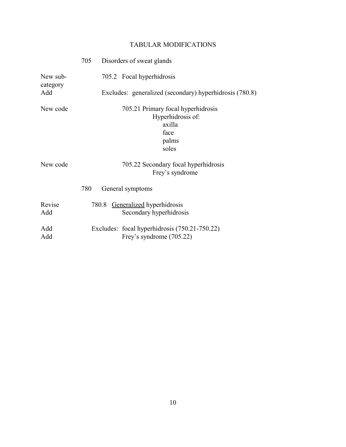|                      | 705 Disorders of sweat glands                                                               |
|----------------------|---------------------------------------------------------------------------------------------|
| New sub-<br>category | 705.2 Focal hyperhidrosis                                                                   |
| Add                  | Excludes: generalized (secondary) hyperhidrosis (780.8)                                     |
| New code             | 705.21 Primary focal hyperhidrosis<br>Hyperhidrosis of:<br>axilla<br>face<br>palms<br>soles |
| New code             | 705.22 Secondary focal hyperhidrosis<br>Frey's syndrome<br>780<br>General symptoms          |
| Revise<br>Add        | 780.8 Generalized hyperhidrosis<br>Secondary hyperhidrosis                                  |
| Add<br>Add           | Excludes: focal hyperhidrosis (750.21-750.22)<br>Frey's syndrome (705.22)                   |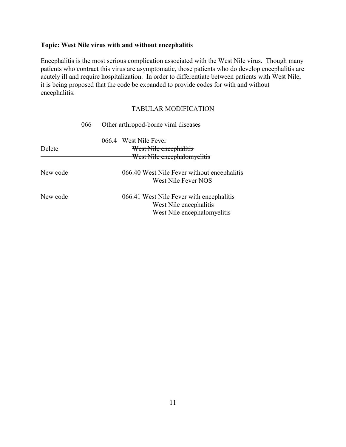### **Topic: West Nile virus with and without encephalitis**

Encephalitis is the most serious complication associated with the West Nile virus. Though many patients who contract this virus are asymptomatic, those patients who do develop encephalitis are acutely ill and require hospitalization. In order to differentiate between patients with West Nile, it is being proposed that the code be expanded to provide codes for with and without encephalitis.

|          | 066 | Other arthropod-borne viral diseases                                                              |
|----------|-----|---------------------------------------------------------------------------------------------------|
| Delete   |     | 066.4 West Nile Fever<br>West Nile encephalitis<br>West Nile encephalomyelitis                    |
|          |     |                                                                                                   |
| New code |     | 066.40 West Nile Fever without encephalitis<br>West Nile Fever NOS                                |
| New code |     | 066.41 West Nile Fever with encephalitis<br>West Nile encephalitis<br>West Nile encephalomyelitis |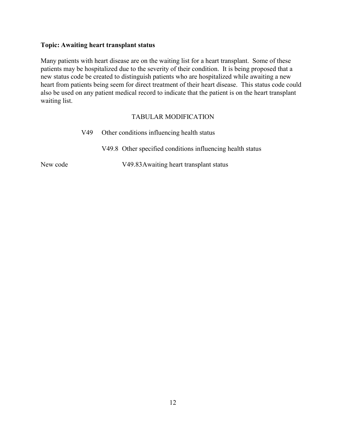## **Topic: Awaiting heart transplant status**

Many patients with heart disease are on the waiting list for a heart transplant. Some of these patients may be hospitalized due to the severity of their condition. It is being proposed that a new status code be created to distinguish patients who are hospitalized while awaiting a new heart from patients being seem for direct treatment of their heart disease. This status code could also be used on any patient medical record to indicate that the patient is on the heart transplant waiting list.

### TABULAR MODIFICATION

| V49      | Other conditions influencing health status |                                                            |
|----------|--------------------------------------------|------------------------------------------------------------|
|          |                                            | V49.8 Other specified conditions influencing health status |
| New code |                                            | V49.83 Awaiting heart transplant status                    |

12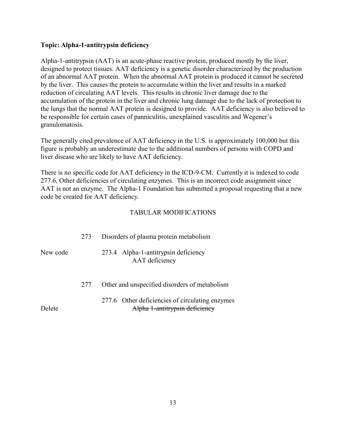### **Topic: Alpha-1-antitrypsin deficiency**

Alpha-1-antitrypsin (AAT) is an acute-phase reactive protein, produced mostly by the liver, designed to protect tissues. AAT deficiency is a genetic disorder characterized by the production of an abnormal AAT protein. When the abnormal AAT protein is produced it cannot be secreted by the liver. This causes the protein to accumulate within the liver and results in a marked reduction of circulating AAT levels. This results in chronic liver damage due to the accumulation of the protein in the liver and chronic lung damage due to the lack of protection to the lungs that the normal AAT protein is designed to provide. AAT deficiency is also believed to be responsible for certain cases of panniculitis, unexplained vasculitis and Wegener's granulomatosis.

The generally cited prevalence of AAT deficiency in the U.S. is approximately 100,000 but this figure is probably an underestimate due to the additional numbers of persons with COPD and liver disease who are likely to have AAT deficiency.

There is no specific code for AAT deficiency in the ICD-9-CM. Currently it is indexed to code 277.6, Other deficiencies of circulating enzymes. This is an incorrect code assignment since AAT is not an enzyme. The Alpha-1 Foundation has submitted a proposal requesting that a new code be created for AAT deficiency.

|          | 273 | Disorders of plasma protein metabolism                                            |
|----------|-----|-----------------------------------------------------------------------------------|
| New code |     | 273.4 Alpha-1-antitrypsin deficiency<br>AAT deficiency                            |
|          | 277 | Other and unspecified disorders of metabolism                                     |
| Delete   |     | 277.6 Other deficiencies of circulating enzymes<br>Alpha 1-antitrypsin deficiency |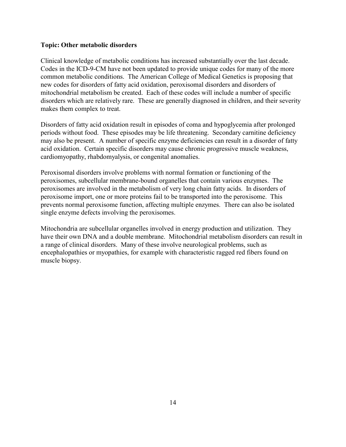#### **Topic: Other metabolic disorders**

Clinical knowledge of metabolic conditions has increased substantially over the last decade. Codes in the ICD-9-CM have not been updated to provide unique codes for many of the more common metabolic conditions. The American College of Medical Genetics is proposing that new codes for disorders of fatty acid oxidation, peroxisomal disorders and disorders of mitochondrial metabolism be created. Each of these codes will include a number of specific disorders which are relatively rare. These are generally diagnosed in children, and their severity makes them complex to treat.

Disorders of fatty acid oxidation result in episodes of coma and hypoglycemia after prolonged periods without food. These episodes may be life threatening. Secondary carnitine deficiency may also be present. A number of specific enzyme deficiencies can result in a disorder of fatty acid oxidation. Certain specific disorders may cause chronic progressive muscle weakness, cardiomyopathy, rhabdomyalysis, or congenital anomalies.

Peroxisomal disorders involve problems with normal formation or functioning of the peroxisomes, subcellular membrane-bound organelles that contain various enzymes. The peroxisomes are involved in the metabolism of very long chain fatty acids. In disorders of peroxisome import, one or more proteins fail to be transported into the peroxisome. This prevents normal peroxisome function, affecting multiple enzymes. There can also be isolated single enzyme defects involving the peroxisomes.

Mitochondria are subcellular organelles involved in energy production and utilization. They have their own DNA and a double membrane. Mitochondrial metabolism disorders can result in a range of clinical disorders. Many of these involve neurological problems, such as encephalopathies or myopathies, for example with characteristic ragged red fibers found on muscle biopsy.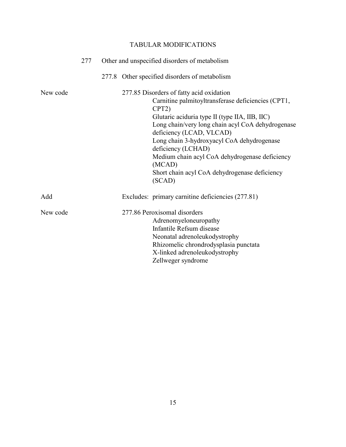|          | 277 | Other and unspecified disorders of metabolism                                                                                                                                                                                                                                                                                                                                                                                                      |
|----------|-----|----------------------------------------------------------------------------------------------------------------------------------------------------------------------------------------------------------------------------------------------------------------------------------------------------------------------------------------------------------------------------------------------------------------------------------------------------|
|          |     | 277.8 Other specified disorders of metabolism                                                                                                                                                                                                                                                                                                                                                                                                      |
| New code |     | 277.85 Disorders of fatty acid oxidation<br>Carnitine palmitoyltransferase deficiencies (CPT1,<br>CPT <sub>2</sub> )<br>Glutaric aciduria type II (type IIA, IIB, IIC)<br>Long chain/very long chain acyl CoA dehydrogenase<br>deficiency (LCAD, VLCAD)<br>Long chain 3-hydroxyacyl CoA dehydrogenase<br>deficiency (LCHAD)<br>Medium chain acyl CoA dehydrogenase deficiency<br>(MCAD)<br>Short chain acyl CoA dehydrogenase deficiency<br>(SCAD) |
| Add      |     | Excludes: primary carnitine deficiencies (277.81)                                                                                                                                                                                                                                                                                                                                                                                                  |
| New code |     | 277.86 Peroxisomal disorders<br>Adrenomyeloneuropathy<br>Infantile Refsum disease<br>Neonatal adrenoleukodystrophy<br>Rhizomelic chrondrodysplasia punctata<br>X-linked adrenoleukodystrophy<br>Zellweger syndrome                                                                                                                                                                                                                                 |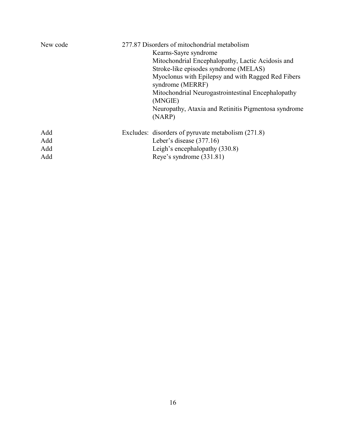| New code | 277.87 Disorders of mitochondrial metabolism                           |  |  |  |
|----------|------------------------------------------------------------------------|--|--|--|
|          | Kearns-Sayre syndrome                                                  |  |  |  |
|          | Mitochondrial Encephalopathy, Lactic Acidosis and                      |  |  |  |
|          | Stroke-like episodes syndrome (MELAS)                                  |  |  |  |
|          | Myoclonus with Epilepsy and with Ragged Red Fibers<br>syndrome (MERRF) |  |  |  |
|          | Mitochondrial Neurogastrointestinal Encephalopathy                     |  |  |  |
|          | (MNGIE)                                                                |  |  |  |
|          | Neuropathy, Ataxia and Retinitis Pigmentosa syndrome<br>(NARP)         |  |  |  |
| Add      | Excludes: disorders of pyruvate metabolism (271.8)                     |  |  |  |
| Add      | Leber's disease $(377.16)$                                             |  |  |  |
| Add      | Leigh's encephalopathy (330.8)                                         |  |  |  |
| Add      | Reye's syndrome (331.81)                                               |  |  |  |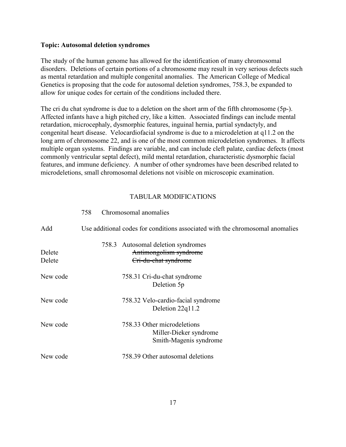#### **Topic: Autosomal deletion syndromes**

The study of the human genome has allowed for the identification of many chromosomal disorders. Deletions of certain portions of a chromosome may result in very serious defects such as mental retardation and multiple congenital anomalies. The American College of Medical Genetics is proposing that the code for autosomal deletion syndromes, 758.3, be expanded to allow for unique codes for certain of the conditions included there.

The cri du chat syndrome is due to a deletion on the short arm of the fifth chromosome (5p-). Affected infants have a high pitched cry, like a kitten. Associated findings can include mental retardation, microcephaly, dysmorphic features, inguinal hernia, partial syndactyly, and congenital heart disease. Velocardiofacial syndrome is due to a microdeletion at q11.2 on the long arm of chromosome 22, and is one of the most common microdeletion syndromes. It affects multiple organ systems. Findings are variable, and can include cleft palate, cardiac defects (most commonly ventricular septal defect), mild mental retardation, characteristic dysmorphic facial features, and immune deficiency. A number of other syndromes have been described related to microdeletions, small chromosomal deletions not visible on microscopic examination.

### TABULAR MODIFICATIONS

| Add              | Use additional codes for conditions associated with the chromosomal anomalies        |
|------------------|--------------------------------------------------------------------------------------|
| Delete<br>Delete | 758.3 Autosomal deletion syndromes<br>Antimongolism syndrome<br>Cri-du-chat syndrome |
| New code         | 758.31 Cri-du-chat syndrome<br>Deletion 5p                                           |
| New code         | 758.32 Velo-cardio-facial syndrome<br>Deletion 22q11.2                               |
| New code         | 758.33 Other microdeletions<br>Miller-Dieker syndrome<br>Smith-Magenis syndrome      |
| New code         | 758.39 Other autosomal deletions                                                     |

#### 758 Chromosomal anomalies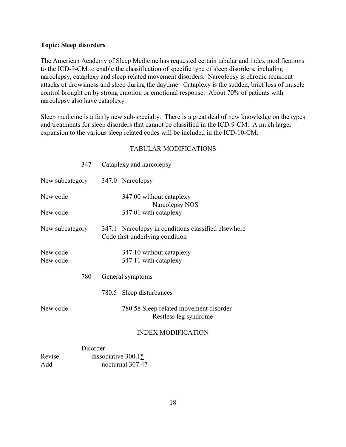### **Topic: Sleep disorders**

The American Academy of Sleep Medicine has requested certain tabular and index modifications to the ICD-9-CM to enable the classification of specific type of sleep disorders, including narcolepsy, cataplexy and sleep related movement disorders. Narcolepsy is chronic recurrent attacks of drowsiness and sleep during the daytime. Cataplexy is the sudden, brief loss of muscle control brought on by strong emotion or emotional response. About 70% of patients with narcolepsy also have cataplexy.

Sleep medicine is a fairly new sub-specialty. There is a great deal of new knowledge on the types and treatments for sleep disorders that cannot be classified in the ICD-9-CM. A much larger expansion to the various sleep related codes will be included in the ICD-10-CM.

| 347                              | Cataplexy and narcolepsy                                                               |
|----------------------------------|----------------------------------------------------------------------------------------|
| New subcategory 347.0 Narcolepsy |                                                                                        |
| New code                         | 347.00 without cataplexy<br>Narcolepsy NOS                                             |
| New code                         | 347.01 with cataplexy                                                                  |
| New subcategory                  | 347.1 Narcolepsy in conditions classified elsewhere<br>Code first underlying condition |
| New code<br>New code             | 347.10 without cataplexy<br>347.11 with cataplexy                                      |
| 780                              | General symptoms                                                                       |
|                                  | 780.5 Sleep disturbances                                                               |
| New code                         | 780.58 Sleep related movement disorder<br>Restless leg syndrome                        |
|                                  | <b>INDEX MODIFICATION</b>                                                              |

|        | Disorder            |
|--------|---------------------|
| Revise | dissociative 300.15 |
| Add    | nocturnal 307.47    |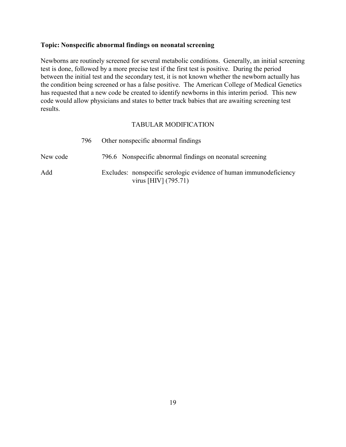### **Topic: Nonspecific abnormal findings on neonatal screening**

Newborns are routinely screened for several metabolic conditions. Generally, an initial screening test is done, followed by a more precise test if the first test is positive. During the period between the initial test and the secondary test, it is not known whether the newborn actually has the condition being screened or has a false positive. The American College of Medical Genetics has requested that a new code be created to identify newborns in this interim period. This new code would allow physicians and states to better track babies that are awaiting screening test results.

|          | 796 | Other nonspecific abnormal findings                                                          |
|----------|-----|----------------------------------------------------------------------------------------------|
| New code |     | 796.6 Nonspecific abnormal findings on neonatal screening                                    |
| Add      |     | Excludes: nonspecific serologic evidence of human immunodeficiency<br>virus [HIV] $(795.71)$ |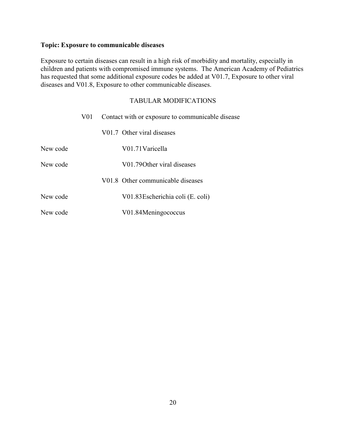# **Topic: Exposure to communicable diseases**

Exposure to certain diseases can result in a high risk of morbidity and mortality, especially in children and patients with compromised immune systems. The American Academy of Pediatrics has requested that some additional exposure codes be added at V01.7, Exposure to other viral diseases and V01.8, Exposure to other communicable diseases.

|          | V01 | Contact with or exposure to communicable disease |                                   |
|----------|-----|--------------------------------------------------|-----------------------------------|
|          |     |                                                  | V01.7 Other viral diseases        |
| New code |     |                                                  | V01.71 Varicella                  |
| New code |     |                                                  | V01.790 ther viral diseases       |
|          |     |                                                  | V01.8 Other communicable diseases |
| New code |     |                                                  | V01.83 Escherichia coli (E. coli) |
| New code |     |                                                  | V01.84Meningococcus               |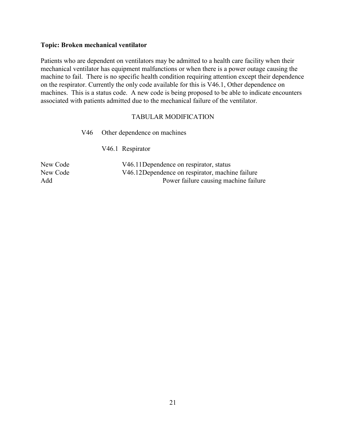#### **Topic: Broken mechanical ventilator**

Patients who are dependent on ventilators may be admitted to a health care facility when their mechanical ventilator has equipment malfunctions or when there is a power outage causing the machine to fail. There is no specific health condition requiring attention except their dependence on the respirator. Currently the only code available for this is V46.1, Other dependence on machines. This is a status code. A new code is being proposed to be able to indicate encounters associated with patients admitted due to the mechanical failure of the ventilator.

|          | V46. | Other dependence on machines                    |
|----------|------|-------------------------------------------------|
|          |      | V46.1 Respirator                                |
| New Code |      | V46.11Dependence on respirator, status          |
| New Code |      | V46.12Dependence on respirator, machine failure |
| Add      |      | Power failure causing machine failure           |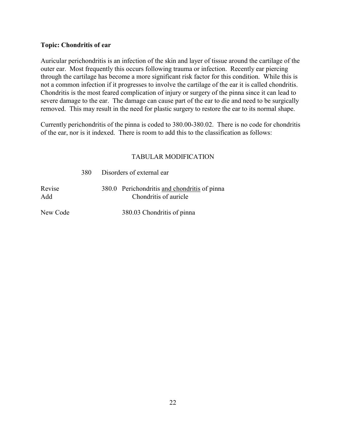### **Topic: Chondritis of ear**

Auricular perichondritis is an infection of the skin and layer of tissue around the cartilage of the outer ear. Most frequently this occurs following trauma or infection. Recently ear piercing through the cartilage has become a more significant risk factor for this condition. While this is not a common infection if it progresses to involve the cartilage of the ear it is called chondritis. Chondritis is the most feared complication of injury or surgery of the pinna since it can lead to severe damage to the ear. The damage can cause part of the ear to die and need to be surgically removed. This may result in the need for plastic surgery to restore the ear to its normal shape.

Currently perichondritis of the pinna is coded to 380.00-380.02. There is no code for chondritis of the ear, nor is it indexed. There is room to add this to the classification as follows:

### TABULAR MODIFICATION

|               | 380 | Disorders of external ear                                             |
|---------------|-----|-----------------------------------------------------------------------|
| Revise<br>Add |     | 380.0 Perichondritis and chondritis of pinna<br>Chondritis of auricle |
| New Code      |     | 380.03 Chondritis of pinna                                            |

22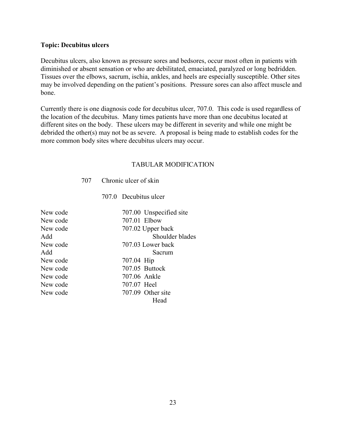#### **Topic: Decubitus ulcers**

Decubitus ulcers, also known as pressure sores and bedsores, occur most often in patients with diminished or absent sensation or who are debilitated, emaciated, paralyzed or long bedridden. Tissues over the elbows, sacrum, ischia, ankles, and heels are especially susceptible. Other sites may be involved depending on the patient's positions. Pressure sores can also affect muscle and bone.

Currently there is one diagnosis code for decubitus ulcer, 707.0. This code is used regardless of the location of the decubitus. Many times patients have more than one decubitus located at different sites on the body. These ulcers may be different in severity and while one might be debrided the other(s) may not be as severe. A proposal is being made to establish codes for the more common body sites where decubitus ulcers may occur.

#### TABULAR MODIFICATION

707 Chronic ulcer of skin

707.0 Decubitus ulcer

| New code | 707.00 Unspecified site |
|----------|-------------------------|
| New code | 707.01 Elbow            |
| New code | 707.02 Upper back       |
| Add      | Shoulder blades         |
| New code | 707.03 Lower back       |
| Add      | Sacrum                  |
| New code | 707.04 Hip              |
| New code | 707.05 Buttock          |
| New code | 707.06 Ankle            |
| New code | 707.07 Heel             |
| New code | 707.09 Other site       |
|          | Head                    |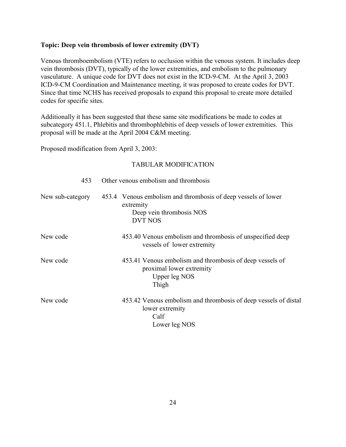#### **Topic: Deep vein thrombosis of lower extremity (DVT)**

Venous thromboembolism (VTE) refers to occlusion within the venous system. It includes deep vein thrombosis (DVT), typically of the lower extremities, and embolism to the pulmonary vasculature. A unique code for DVT does not exist in the ICD-9-CM. At the April 3, 2003 ICD-9-CM Coordination and Maintenance meeting, it was proposed to create codes for DVT. Since that time NCHS has received proposals to expand this proposal to create more detailed codes for specific sites.

Additionally it has been suggested that these same site modifications be made to codes at subcategory 451.1, Phlebitis and thrombophlebitis of deep vessels of lower extremities. This proposal will be made at the April 2004 C&M meeting.

Proposed modification from April 3, 2003:

| 453              | Other venous embolism and thrombosis                                                                                     |
|------------------|--------------------------------------------------------------------------------------------------------------------------|
| New sub-category | 453.4 Venous embolism and thrombosis of deep vessels of lower<br>extremity<br>Deep vein thrombosis NOS<br><b>DVT NOS</b> |
| New code         | 453.40 Venous embolism and thrombosis of unspecified deep<br>vessels of lower extremity                                  |
| New code         | 453.41 Venous embolism and thrombosis of deep vessels of<br>proximal lower extremity<br>Upper leg NOS<br>Thigh           |
| New code         | 453.42 Venous embolism and thrombosis of deep vessels of distal<br>lower extremity<br>Calf<br>Lower leg NOS              |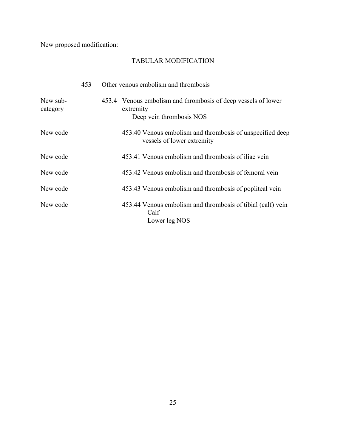New proposed modification:

|                      | 453 | Other venous embolism and thrombosis                                                                   |
|----------------------|-----|--------------------------------------------------------------------------------------------------------|
| New sub-<br>category |     | 453.4 Venous embolism and thrombosis of deep vessels of lower<br>extremity<br>Deep vein thrombosis NOS |
| New code             |     | 453.40 Venous embolism and thrombosis of unspecified deep<br>vessels of lower extremity                |
| New code             |     | 453.41 Venous embolism and thrombosis of iliac vein                                                    |
| New code             |     | 453.42 Venous embolism and thrombosis of femoral vein                                                  |
| New code             |     | 453.43 Venous embolism and thrombosis of popliteal vein                                                |
| New code             |     | 453.44 Venous embolism and thrombosis of tibial (calf) vein<br>Calf<br>Lower leg NOS                   |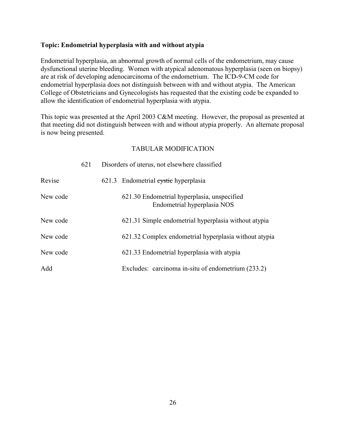### **Topic: Endometrial hyperplasia with and without atypia**

Endometrial hyperplasia, an abnormal growth of normal cells of the endometrium, may cause dysfunctional uterine bleeding. Women with atypical adenomatous hyperplasia (seen on biopsy) are at risk of developing adenocarcinoma of the endometrium. The ICD-9-CM code for endometrial hyperplasia does not distinguish between with and without atypia. The American College of Obstetricians and Gynecologists has requested that the existing code be expanded to allow the identification of endometrial hyperplasia with atypia.

This topic was presented at the April 2003 C&M meeting. However, the proposal as presented at that meeting did not distinguish between with and without atypia properly. An alternate proposal is now being presented.

|          | 621 | Disorders of uterus, not elsewhere classified                              |
|----------|-----|----------------------------------------------------------------------------|
| Revise   |     | 621.3 Endometrial eystic hyperplasia                                       |
| New code |     | 621.30 Endometrial hyperplasia, unspecified<br>Endometrial hyperplasia NOS |
| New code |     | 621.31 Simple endometrial hyperplasia without atypia                       |
| New code |     | 621.32 Complex endometrial hyperplasia without atypia                      |
| New code |     | 621.33 Endometrial hyperplasia with atypia                                 |
| Add      |     | Excludes: carcinoma in-situ of endometrium (233.2)                         |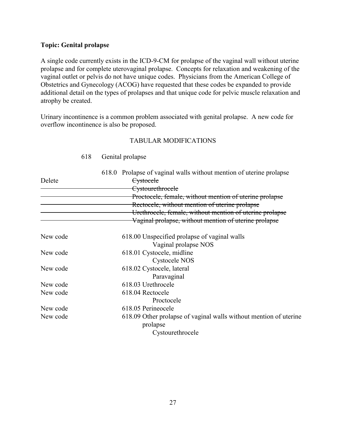#### **Topic: Genital prolapse**

A single code currently exists in the ICD-9-CM for prolapse of the vaginal wall without uterine prolapse and for complete uterovaginal prolapse. Concepts for relaxation and weakening of the vaginal outlet or pelvis do not have unique codes. Physicians from the American College of Obstetrics and Gynecology (ACOG) have requested that these codes be expanded to provide additional detail on the types of prolapses and that unique code for pelvic muscle relaxation and atrophy be created.

Urinary incontinence is a common problem associated with genital prolapse. A new code for overflow incontinence is also be proposed.

### TABULAR MODIFICATIONS

|          | 618.0 Prolapse of vaginal walls without mention of uterine prolapse |
|----------|---------------------------------------------------------------------|
| Delete   | <b>Cystocele</b>                                                    |
|          | <del>Cystourethrocele</del>                                         |
|          | Proctocele, female, without mention of uterine prolapse             |
|          | Rectocele, without mention of uterine prolapse                      |
|          | Urethrocele, female, without mention of uterine prolapse            |
|          | Vaginal prolapse, without mention of uterine prolapse               |
| New code | 618.00 Unspecified prolapse of vaginal walls                        |
|          | Vaginal prolapse NOS                                                |
| New code | 618.01 Cystocele, midline                                           |
|          | <b>Cystocele NOS</b>                                                |
| New code | 618.02 Cystocele, lateral                                           |
|          | Paravaginal                                                         |
| New code | 618.03 Urethrocele                                                  |
| New code | 618.04 Rectocele                                                    |
|          | Proctocele                                                          |
| New code | 618.05 Perineocele                                                  |
| New code | 618.09 Other prolapse of vaginal walls without mention of uterine   |
|          | prolapse                                                            |
|          | Cystourethrocele                                                    |

### 618 Genital prolapse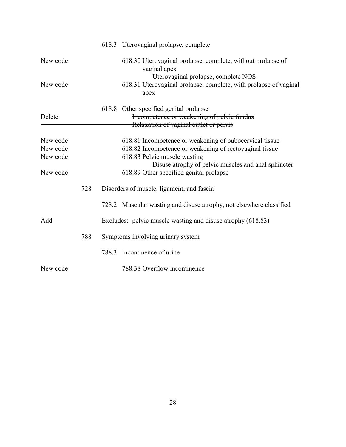|                                  |     | 618.3 Uterovaginal prolapse, complete                                                                                                                                                                     |
|----------------------------------|-----|-----------------------------------------------------------------------------------------------------------------------------------------------------------------------------------------------------------|
| New code                         |     | 618.30 Uterovaginal prolapse, complete, without prolapse of<br>vaginal apex<br>Uterovaginal prolapse, complete NOS                                                                                        |
| New code                         |     | 618.31 Uterovaginal prolapse, complete, with prolapse of vaginal<br>apex                                                                                                                                  |
| Delete                           |     | 618.8 Other specified genital prolapse<br>Incompetence or weakening of pelvic fundus<br>Relaxation of vaginal outlet or pelvis                                                                            |
| New code<br>New code<br>New code |     | 618.81 Incompetence or weakening of pubocervical tissue<br>618.82 Incompetence or weakening of rectovaginal tissue<br>618.83 Pelvic muscle wasting<br>Disuse atrophy of pelvic muscles and anal sphincter |
| New code                         |     | 618.89 Other specified genital prolapse                                                                                                                                                                   |
|                                  | 728 | Disorders of muscle, ligament, and fascia                                                                                                                                                                 |
|                                  |     | 728.2 Muscular wasting and disuse atrophy, not elsewhere classified                                                                                                                                       |
| Add                              |     | Excludes: pelvic muscle wasting and disuse atrophy (618.83)                                                                                                                                               |
|                                  | 788 | Symptoms involving urinary system                                                                                                                                                                         |
|                                  |     | Incontinence of urine<br>788.3                                                                                                                                                                            |
| New code                         |     | 788.38 Overflow incontinence                                                                                                                                                                              |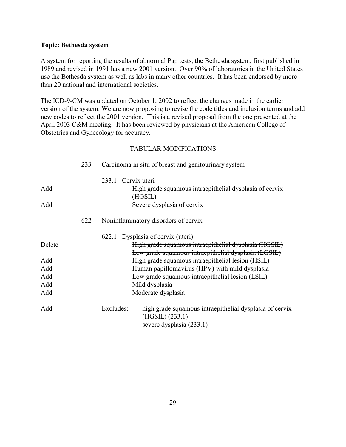#### **Topic: Bethesda system**

A system for reporting the results of abnormal Pap tests, the Bethesda system, first published in 1989 and revised in 1991 has a new 2001 version. Over 90% of laboratories in the United States use the Bethesda system as well as labs in many other countries. It has been endorsed by more than 20 national and international societies.

The ICD-9-CM was updated on October 1, 2002 to reflect the changes made in the earlier version of the system. We are now proposing to revise the code titles and inclusion terms and add new codes to reflect the 2001 version. This is a revised proposal from the one presented at the April 2003 C&M meeting. It has been reviewed by physicians at the American College of Obstetrics and Gynecology for accuracy.

|        | 233 |                    | Carcinoma in situ of breast and genitourinary system                                                          |
|--------|-----|--------------------|---------------------------------------------------------------------------------------------------------------|
|        |     | 233.1 Cervix uteri |                                                                                                               |
| Add    |     |                    | High grade squamous intraepithelial dysplasia of cervix<br>(HGSIL)                                            |
| Add    |     |                    | Severe dysplasia of cervix                                                                                    |
|        | 622 |                    | Noninflammatory disorders of cervix                                                                           |
|        |     |                    | 622.1 Dysplasia of cervix (uteri)                                                                             |
| Delete |     |                    | High grade squamous intraepithelial dysplasia (HGSIL)<br>Low grade squamous intraepithelial dysplasia (LGSIL) |
| Add    |     |                    | High grade squamous intraepithelial lesion (HSIL)                                                             |
| Add    |     |                    | Human papillomavirus (HPV) with mild dysplasia                                                                |
| Add    |     |                    | Low grade squamous intraepithelial lesion (LSIL)                                                              |
| Add    |     |                    | Mild dysplasia                                                                                                |
| Add    |     |                    | Moderate dysplasia                                                                                            |
| Add    |     | Excludes:          | high grade squamous intraepithelial dysplasia of cervix<br>(HGSIL) (233.1)<br>severe dysplasia (233.1)        |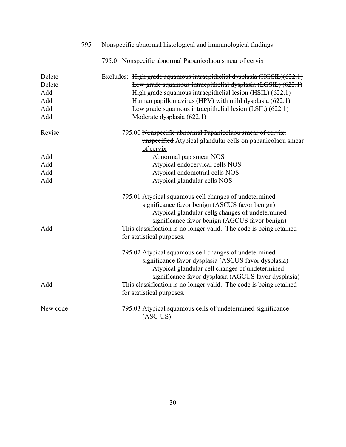|                                              | 795 | Nonspecific abnormal histological and immunological findings                                                                                                                                                                                                                                                                                              |
|----------------------------------------------|-----|-----------------------------------------------------------------------------------------------------------------------------------------------------------------------------------------------------------------------------------------------------------------------------------------------------------------------------------------------------------|
|                                              |     | 795.0 Nonspecific abnormal Papanicolaou smear of cervix                                                                                                                                                                                                                                                                                                   |
| Delete<br>Delete<br>Add<br>Add<br>Add<br>Add |     | Excludes: High grade squamous intraepithelial dysplasia $(HGSH0)(622.1)$<br>Low grade squamous intraepithelial dysplasia (LGSIL) (622.1)<br>High grade squamous intraepithelial lesion (HSIL) (622.1)<br>Human papillomavirus (HPV) with mild dysplasia (622.1)<br>Low grade squamous intraepithelial lesion (LSIL) (622.1)<br>Moderate dysplasia (622.1) |
| Revise                                       |     | 795.00 Nonspecific abnormal Papanicolaou smear of cervix,<br>unspecified Atypical glandular cells on papanicolaou smear<br>of cervix                                                                                                                                                                                                                      |
| Add                                          |     | Abnormal pap smear NOS                                                                                                                                                                                                                                                                                                                                    |
| Add                                          |     | Atypical endocervical cells NOS                                                                                                                                                                                                                                                                                                                           |
| Add                                          |     | Atypical endometrial cells NOS                                                                                                                                                                                                                                                                                                                            |
| Add                                          |     | Atypical glandular cells NOS                                                                                                                                                                                                                                                                                                                              |
| Add                                          |     | 795.01 Atypical squamous cell changes of undetermined<br>significance favor benign (ASCUS favor benign)<br>Atypical glandular cells changes of undetermined<br>significance favor benign (AGCUS favor benign)<br>This classification is no longer valid. The code is being retained<br>for statistical purposes.                                          |
|                                              |     | 795.02 Atypical squamous cell changes of undetermined<br>significance favor dysplasia (ASCUS favor dysplasia)<br>Atypical glandular cell changes of undetermined<br>significance favor dysplasia (AGCUS favor dysplasia)                                                                                                                                  |
| Add                                          |     | This classification is no longer valid. The code is being retained<br>for statistical purposes.                                                                                                                                                                                                                                                           |
| New code                                     |     | 795.03 Atypical squamous cells of undetermined significance<br>$(ASC-US)$                                                                                                                                                                                                                                                                                 |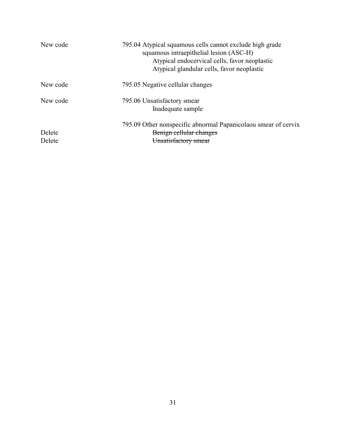| New code         | 795.04 Atypical squamous cells cannot exclude high grade<br>squamous intraepithelial lesion (ASC-H)<br>Atypical endocervical cells, favor neoplastic<br>Atypical glandular cells, favor neoplastic |
|------------------|----------------------------------------------------------------------------------------------------------------------------------------------------------------------------------------------------|
| New code         | 795.05 Negative cellular changes                                                                                                                                                                   |
| New code         | 795.06 Unsatisfactory smear<br>Inadequate sample                                                                                                                                                   |
| Delete<br>Delete | 795.09 Other nonspecific abnormal Papanicolaou smear of cervix<br>Benign cellular changes<br>Unsatisfactory smear                                                                                  |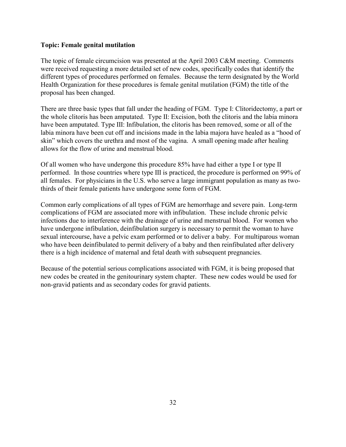#### **Topic: Female genital mutilation**

The topic of female circumcision was presented at the April 2003 C&M meeting. Comments were received requesting a more detailed set of new codes, specifically codes that identify the different types of procedures performed on females. Because the term designated by the World Health Organization for these procedures is female genital mutilation (FGM) the title of the proposal has been changed.

There are three basic types that fall under the heading of FGM. Type I: Clitoridectomy, a part or the whole clitoris has been amputated. Type II: Excision, both the clitoris and the labia minora have been amputated. Type III: Infibulation, the clitoris has been removed, some or all of the labia minora have been cut off and incisions made in the labia majora have healed as a "hood of skin" which covers the urethra and most of the vagina. A small opening made after healing allows for the flow of urine and menstrual blood.

Of all women who have undergone this procedure 85% have had either a type I or type II performed. In those countries where type III is practiced, the procedure is performed on 99% of all females. For physicians in the U.S. who serve a large immigrant population as many as twothirds of their female patients have undergone some form of FGM.

Common early complications of all types of FGM are hemorrhage and severe pain. Long-term complications of FGM are associated more with infibulation. These include chronic pelvic infections due to interference with the drainage of urine and menstrual blood. For women who have undergone infibulation, deinfibulation surgery is necessary to permit the woman to have sexual intercourse, have a pelvic exam performed or to deliver a baby. For multiparous woman who have been deinfibulated to permit delivery of a baby and then reinfibulated after delivery there is a high incidence of maternal and fetal death with subsequent pregnancies.

Because of the potential serious complications associated with FGM, it is being proposed that new codes be created in the genitourinary system chapter. These new codes would be used for non-gravid patients and as secondary codes for gravid patients.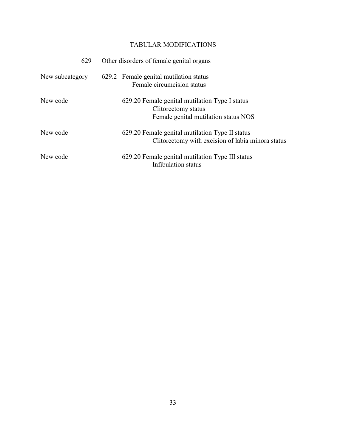| 629             | Other disorders of female genital organs                                                                      |
|-----------------|---------------------------------------------------------------------------------------------------------------|
| New subcategory | 629.2 Female genital mutilation status<br>Female circumcision status                                          |
| New code        | 629.20 Female genital mutilation Type I status<br>Clitorectomy status<br>Female genital mutilation status NOS |
| New code        | 629.20 Female genital mutilation Type II status<br>Clitorectomy with excision of labia minora status          |
| New code        | 629.20 Female genital mutilation Type III status<br>Infibulation status                                       |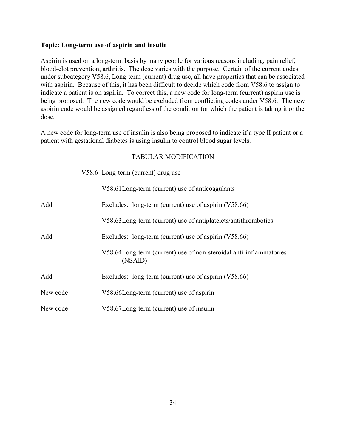#### **Topic: Long-term use of aspirin and insulin**

Aspirin is used on a long-term basis by many people for various reasons including, pain relief, blood-clot prevention, arthritis. The dose varies with the purpose. Certain of the current codes under subcategory V58.6, Long-term (current) drug use, all have properties that can be associated with aspirin. Because of this, it has been difficult to decide which code from V58.6 to assign to indicate a patient is on aspirin. To correct this, a new code for long-term (current) aspirin use is being proposed. The new code would be excluded from conflicting codes under V58.6. The new aspirin code would be assigned regardless of the condition for which the patient is taking it or the dose.

A new code for long-term use of insulin is also being proposed to indicate if a type II patient or a patient with gestational diabetes is using insulin to control blood sugar levels.

|          | V58.6 Long-term (current) drug use                                            |
|----------|-------------------------------------------------------------------------------|
|          | V58.61 Long-term (current) use of anticoagulants                              |
| Add      | Excludes: long-term (current) use of aspirin (V58.66)                         |
|          | V58.63Long-term (current) use of antiplatelets/antithrombotics                |
| Add      | Excludes: long-term (current) use of aspirin (V58.66)                         |
|          | V58.64Long-term (current) use of non-steroidal anti-inflammatories<br>(NSAID) |
| Add      | Excludes: long-term (current) use of aspirin (V58.66)                         |
| New code | V58.66Long-term (current) use of aspirin                                      |
| New code | V58.67Long-term (current) use of insulin                                      |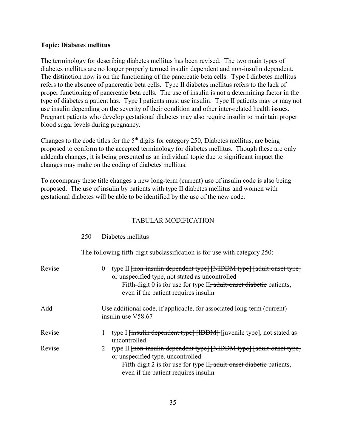#### **Topic: Diabetes mellitus**

The terminology for describing diabetes mellitus has been revised. The two main types of diabetes mellitus are no longer properly termed insulin dependent and non-insulin dependent. The distinction now is on the functioning of the pancreatic beta cells. Type I diabetes mellitus refers to the absence of pancreatic beta cells. Type II diabetes mellitus refers to the lack of proper functioning of pancreatic beta cells. The use of insulin is not a determining factor in the type of diabetes a patient has. Type I patients must use insulin. Type II patients may or may not use insulin depending on the severity of their condition and other inter-related health issues. Pregnant patients who develop gestational diabetes may also require insulin to maintain proper blood sugar levels during pregnancy.

Changes to the code titles for the  $5<sup>th</sup>$  digits for category 250, Diabetes mellitus, are being proposed to conform to the accepted terminology for diabetes mellitus. Though these are only addenda changes, it is being presented as an individual topic due to significant impact the changes may make on the coding of diabetes mellitus.

To accompany these title changes a new long-term (current) use of insulin code is also being proposed. The use of insulin by patients with type II diabetes mellitus and women with gestational diabetes will be able to be identified by the use of the new code.

#### TABULAR MODIFICATION

|        | 20V | Diabetes mellitus                                                                                                                                                                                                                                                          |
|--------|-----|----------------------------------------------------------------------------------------------------------------------------------------------------------------------------------------------------------------------------------------------------------------------------|
|        |     | The following fifth-digit subclassification is for use with category 250:                                                                                                                                                                                                  |
| Revise |     | type II <del>[non-insulin dependent type] [NIDDM type] [adult-onset type]</del><br>$\theta$<br>or unspecified type, not stated as uncontrolled<br>Fifth-digit 0 is for use for type II <del>, adult-onset diabetic</del> patients,<br>even if the patient requires insulin |
| Add    |     | Use additional code, if applicable, for associated long-term (current)<br>insulin use V58.67                                                                                                                                                                               |
| Revise |     | type I <del>[insulin dependent type] [IDDM]</del> [juvenile type], not stated as<br>uncontrolled                                                                                                                                                                           |
| Revise |     | type II [non-insulin dependent type] [NIDDM type] [adult-onset type]<br>2<br>or unspecified type, uncontrolled<br>Fifth-digit 2 is for use for type II <del>, adult-onset diabetic</del> patients,<br>even if the patient requires insuline                                |

250 Diabetes mellitus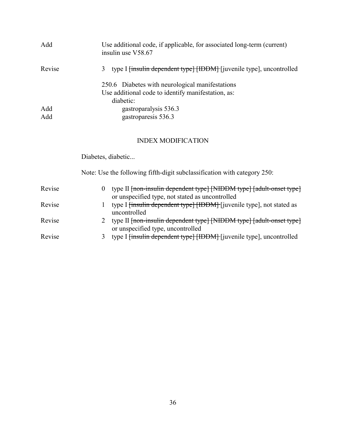| type I <del>finsulin dependent type [IDDM]</del> [juvenile type], uncontrolled |
|--------------------------------------------------------------------------------|
|                                                                                |
|                                                                                |
|                                                                                |
|                                                                                |

# INDEX MODIFICATION

Diabetes, diabetic...

Note: Use the following fifth-digit subclassification with category 250:

| Revise |    | type II <del>[non-insulin dependent type] [NIDDM type] [adult-onset type]</del>  |
|--------|----|----------------------------------------------------------------------------------|
|        |    | or unspecified type, not stated as uncontrolled                                  |
| Revise |    | type I <del>[insulin dependent type] [IDDM]</del> [juvenile type], not stated as |
|        |    | uncontrolled                                                                     |
| Revise |    | type II <del>[non-insulin dependent type] [NIDDM type] [adult-onset type]</del>  |
|        |    | or unspecified type, uncontrolled                                                |
| Revise | 3. | type I <del>[insulin dependent type] [IDDM]</del> [juvenile type], uncontrolled  |
|        |    |                                                                                  |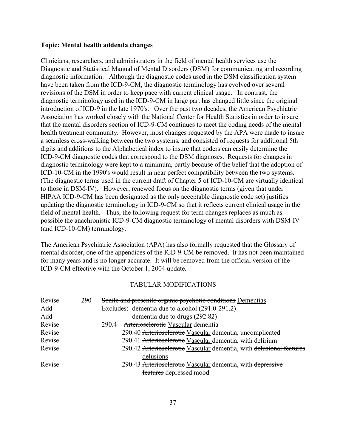#### **Topic: Mental health addenda changes**

Clinicians, researchers, and administrators in the field of mental health services use the Diagnostic and Statistical Manual of Mental Disorders (DSM) for communicating and recording diagnostic information. Although the diagnostic codes used in the DSM classification system have been taken from the ICD-9-CM, the diagnostic terminology has evolved over several revisions of the DSM in order to keep pace with current clinical usage. In contrast, the diagnostic terminology used in the ICD-9-CM in large part has changed little since the original introduction of ICD-9 in the late 1970's. Over the past two decades, the American Psychiatric Association has worked closely with the National Center for Health Statistics in order to insure that the mental disorders section of ICD-9-CM continues to meet the coding needs of the mental health treatment community. However, most changes requested by the APA were made to insure a seamless cross-walking between the two systems, and consisted of requests for additional 5th digits and additions to the Alphabetical index to insure that coders can easily determine the ICD-9-CM diagnostic codes that correspond to the DSM diagnoses. Requests for changes in diagnostic terminology were kept to a minimum, partly because of the belief that the adoption of ICD-10-CM in the 1990's would result in near perfect compatibility between the two systems. (The diagnostic terms used in the current draft of Chapter 5 of ICD-10-CM are virtually identical to those in DSM-IV). However, renewed focus on the diagnostic terms (given that under HIPAA ICD-9-CM has been designated as the only acceptable diagnostic code set) justifies updating the diagnostic terminology in ICD-9-CM so that it reflects current clinical usage in the field of mental health. Thus, the following request for term changes replaces as much as possible the anachronistic ICD-9-CM diagnostic terminology of mental disorders with DSM-IV (and ICD-10-CM) terminology.

The American Psychiatric Association (APA) has also formally requested that the Glossary of mental disorder, one of the appendices of the ICD-9-CM be removed. It has not been maintained for many years and is no longer accurate. It will be removed from the official version of the ICD-9-CM effective with the October 1, 2004 update.

| 290 | Senile and presenile organic psychotic conditions Dementias         |
|-----|---------------------------------------------------------------------|
|     | Excludes: dementia due to alcohol (291.0-291.2)                     |
|     | dementia due to drugs (292.82)                                      |
|     | Arteriosclerotic Vascular dementia<br>290.4                         |
|     | 290.40 Arteriosclerotic Vascular dementia, uncomplicated            |
|     | 290.41 Arterioselerotic Vascular dementia, with delirium            |
|     | 290.42 Arteriosclerotic Vascular dementia, with delusional features |
|     | delusions                                                           |
|     | 290.43 Arteriosclerotic Vascular dementia, with depressive          |
|     | features depressed mood                                             |
|     |                                                                     |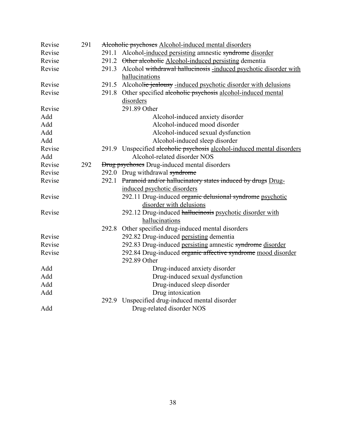| Revise | 291 |                                                     | Alcoholic psychoses Alcohol-induced mental disorders                   |  |
|--------|-----|-----------------------------------------------------|------------------------------------------------------------------------|--|
| Revise |     | 291.1                                               | Alcohol-induced persisting amnestic syndrome disorder                  |  |
| Revise |     |                                                     | 291.2 Other alcoholic Alcohol-induced persisting dementia              |  |
| Revise |     |                                                     | 291.3 Alcohol withdrawal hallucinosis -induced psychotic disorder with |  |
|        |     |                                                     | hallucinations                                                         |  |
| Revise |     |                                                     | 291.5 Alcoholic jealousy -induced psychotic disorder with delusions    |  |
| Revise |     |                                                     | 291.8 Other specified alcoholic psychosis alcohol-induced mental       |  |
|        |     |                                                     | disorders                                                              |  |
| Revise |     |                                                     | 291.89 Other                                                           |  |
| Add    |     |                                                     | Alcohol-induced anxiety disorder                                       |  |
| Add    |     |                                                     | Alcohol-induced mood disorder                                          |  |
| Add    |     |                                                     | Alcohol-induced sexual dysfunction                                     |  |
| Add    |     |                                                     | Alcohol-induced sleep disorder                                         |  |
| Revise |     |                                                     | 291.9 Unspecified alcoholic psychosis alcohol-induced mental disorders |  |
| Add    |     |                                                     | Alcohol-related disorder NOS                                           |  |
| Revise | 292 | <b>Drug psychoses</b> Drug-induced mental disorders |                                                                        |  |
| Revise |     |                                                     | 292.0 Drug withdrawal syndrome                                         |  |
| Revise |     |                                                     | 292.1 Paranoid and/or hallucinatory states induced by drugs Drug-      |  |
|        |     |                                                     | induced psychotic disorders                                            |  |
| Revise |     |                                                     | 292.11 Drug-induced organic delusional syndrome psychotic              |  |
|        |     |                                                     | disorder with delusions                                                |  |
| Revise |     |                                                     | 292.12 Drug-induced hallucinosis psychotic disorder with               |  |
|        |     |                                                     | hallucinations                                                         |  |
|        |     | 292.8                                               | Other specified drug-induced mental disorders                          |  |
| Revise |     |                                                     | 292.82 Drug-induced persisting dementia                                |  |
| Revise |     |                                                     | 292.83 Drug-induced persisting amnestic syndrome disorder              |  |
| Revise |     |                                                     | 292.84 Drug-induced organic affective syndrome mood disorder           |  |
|        |     |                                                     | 292.89 Other                                                           |  |
| Add    |     |                                                     | Drug-induced anxiety disorder                                          |  |
| Add    |     |                                                     | Drug-induced sexual dysfunction                                        |  |
| Add    |     |                                                     | Drug-induced sleep disorder                                            |  |
| Add    |     |                                                     | Drug intoxication                                                      |  |
|        |     |                                                     | 292.9 Unspecified drug-induced mental disorder                         |  |
| Add    |     |                                                     | Drug-related disorder NOS                                              |  |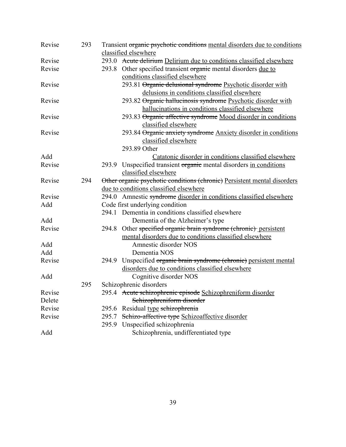| Revise | 293 |       | Transient organic psychotic conditions mental disorders due to conditions |
|--------|-----|-------|---------------------------------------------------------------------------|
|        |     |       | classified elsewhere                                                      |
| Revise |     |       | 293.0 Acute delirium Delirium due to conditions classified elsewhere      |
| Revise |     |       | 293.8 Other specified transient organic mental disorders due to           |
|        |     |       | conditions classified elsewhere                                           |
| Revise |     |       | 293.81 Organic delusional syndrome Psychotic disorder with                |
|        |     |       | delusions in conditions classified elsewhere                              |
| Revise |     |       | 293.82 Organic hallucinosis syndrome Psychotic disorder with              |
|        |     |       | hallucinations in conditions classified elsewhere                         |
| Revise |     |       | 293.83 Organic affective syndrome Mood disorder in conditions             |
|        |     |       | classified elsewhere                                                      |
| Revise |     |       | 293.84 Organic anxiety syndrome Anxiety disorder in conditions            |
|        |     |       | classified elsewhere                                                      |
|        |     |       | 293.89 Other                                                              |
| Add    |     |       | Catatonic disorder in conditions classified elsewhere                     |
| Revise |     | 293.9 | Unspecified transient organic mental disorders in conditions              |
|        |     |       | classified elsewhere                                                      |
| Revise | 294 |       | Other organic psychotic conditions (chronic) Persistent mental disorders  |
|        |     |       | due to conditions classified elsewhere                                    |
| Revise |     |       | 294.0 Amnestic syndrome disorder in conditions classified elsewhere       |
| Add    |     |       | Code first underlying condition                                           |
|        |     |       | 294.1 Dementia in conditions classified elsewhere                         |
| Add    |     |       | Dementia of the Alzheimer's type                                          |
| Revise |     | 294.8 | Other specified organic brain syndrome (chronic) persistent               |
|        |     |       | mental disorders due to conditions classified elsewhere                   |
| Add    |     |       | Amnestic disorder NOS                                                     |
| Add    |     |       | Dementia NOS                                                              |
| Revise |     | 294.9 | Unspecified organic brain syndrome (chronic) persistent mental            |
|        |     |       | disorders due to conditions classified elsewhere                          |
| Add    |     |       | Cognitive disorder NOS                                                    |
|        | 295 |       | Schizophrenic disorders                                                   |
| Revise |     |       | 295.4 Acute schizophrenic episode Schizophreniform disorder               |
| Delete |     |       | Schizophreniform disorder                                                 |
| Revise |     | 295.6 | Residual type schizophrenia                                               |
| Revise |     | 295.7 | Schizo-affective type Schizoaffective disorder                            |
|        |     | 295.9 | Unspecified schizophrenia                                                 |
| Add    |     |       | Schizophrenia, undifferentiated type                                      |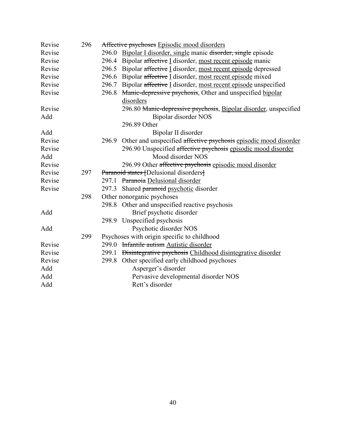| Revise | 296 | Affective psychoses Episodic mood disorders                                     |
|--------|-----|---------------------------------------------------------------------------------|
| Revise |     | 296.0<br>Bipolar I disorder, single manic disorder, single episode              |
| Revise |     | Bipolar affective I disorder, most recent episode manic<br>296.4                |
| Revise |     | 296.5 Bipolar affective I disorder, most recent episode depressed               |
| Revise |     | 296.6 Bipolar affective I disorder, most recent episode mixed                   |
| Revise |     | 296.7 Bipolar affective I disorder, most recent episode unspecified             |
| Revise |     | 296.8<br>Manic-depressive psychosis, Other and unspecified bipolar<br>disorders |
| Revise |     | 296.80 Manic-depressive psychosis, Bipolar disorder, unspecified                |
| Add    |     | Bipolar disorder NOS                                                            |
|        |     | 296.89 Other                                                                    |
| Add    |     | Bipolar II disorder                                                             |
| Revise |     | 296.9 Other and unspecified affective psychosis episodic mood disorder          |
| Revise |     | 296.90 Unspecified affective psychosis episodic mood disorder                   |
| Add    |     | Mood disorder NOS                                                               |
| Revise |     | 296.99 Other affective psychosis episodic mood disorder                         |
| Revise | 297 | Paranoid states [Delusional disorders]                                          |
| Revise |     | Paranoia Delusional disorder<br>297.1                                           |
| Revise |     | 297.3 Shared paranoid psychotic disorder                                        |
|        | 298 | Other nonorganic psychoses                                                      |
|        |     | 298.8 Other and unspecified reactive psychosis                                  |
| Add    |     | Brief psychotic disorder                                                        |
|        |     | 298.9 Unspecified psychosis                                                     |
| Add    |     | Psychotic disorder NOS                                                          |
|        | 299 | Psychoses with origin specific to childhood                                     |
| Revise |     | 299.0 Infantile autism Autistic disorder                                        |
| Revise |     | 299.1 <del>Disintegrative psychosis</del> Childhood disintegrative disorder     |
| Revise |     | 299.8 Other specified early childhood psychoses                                 |
| Add    |     | Asperger's disorder                                                             |
| Add    |     | Pervasive developmental disorder NOS                                            |
| Add    |     | Rett's disorder                                                                 |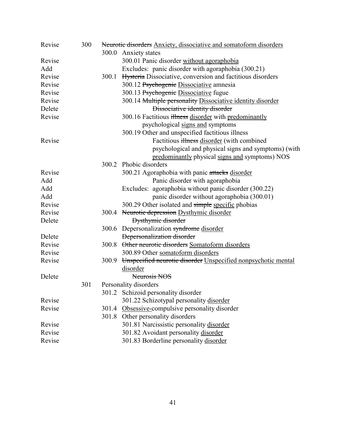| Revise | 300 |       | Neurotic disorders Anxiety, dissociative and somatoform disorders |
|--------|-----|-------|-------------------------------------------------------------------|
|        |     | 300.0 | Anxiety states                                                    |
| Revise |     |       | 300.01 Panic disorder without agoraphobia                         |
| Add    |     |       | Excludes: panic disorder with agoraphobia (300.21)                |
| Revise |     |       | 300.1 Hysteria Dissociative, conversion and factitious disorders  |
| Revise |     |       | 300.12 Psychogenic Dissociative amnesia                           |
| Revise |     |       | 300.13 Psychogenic Dissociative fugue                             |
| Revise |     |       | 300.14 Multiple personality Dissociative identity disorder        |
| Delete |     |       | Dissociative identity disorder                                    |
| Revise |     |       | 300.16 Factitious illness disorder with predominantly             |
|        |     |       | psychological signs and symptoms                                  |
|        |     |       | 300.19 Other and unspecified factitious illness                   |
| Revise |     |       | Factitious illness disorder (with combined                        |
|        |     |       | psychological and physical signs and symptoms) (with              |
|        |     |       | predominantly physical signs and symptoms) NOS                    |
|        |     | 300.2 | Phobic disorders                                                  |
| Revise |     |       | 300.21 Agoraphobia with panic attacks disorder                    |
| Add    |     |       | Panic disorder with agoraphobia                                   |
| Add    |     |       | Excludes: agoraphobia without panic disorder (300.22)             |
| Add    |     |       | panic disorder without agoraphobia (300.01)                       |
| Revise |     |       | 300.29 Other isolated and simple specific phobias                 |
| Revise |     |       | 300.4 Neurotic depression Dysthymic disorder                      |
| Delete |     |       | <b>Dysthymic disorder</b>                                         |
|        |     |       | 300.6 Depersonalization syndrome disorder                         |
| Delete |     |       | <b>Depersonalization disorder</b>                                 |
| Revise |     |       | 300.8 Other neurotic disorders Somatoform disorders               |
| Revise |     |       | 300.89 Other somatoform disorders                                 |
| Revise |     | 300.9 | Unspecified neurotic disorder Unspecified nonpsychotic mental     |
|        |     |       | disorder                                                          |
| Delete |     |       | Neurosis NOS                                                      |
|        | 301 |       | Personality disorders                                             |
|        |     |       | 301.2 Schizoid personality disorder                               |
| Revise |     |       | 301.22 Schizotypal personality disorder                           |
| Revise |     | 301.4 | Obsessive-compulsive personality disorder                         |
|        |     | 301.8 | Other personality disorders                                       |
| Revise |     |       | 301.81 Narcissistic personality disorder                          |
| Revise |     |       | 301.82 Avoidant personality disorder                              |
| Revise |     |       | 301.83 Borderline personality disorder                            |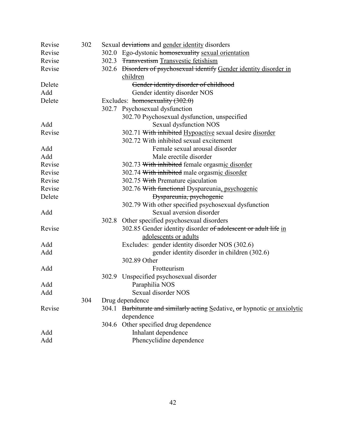| Revise | 302 |       | Sexual deviations and gender identity disorders                                 |
|--------|-----|-------|---------------------------------------------------------------------------------|
| Revise |     |       | 302.0 Ego-dystonic homosexuality sexual orientation                             |
| Revise |     |       | 302.3 Transvestism Transvestic fetishism                                        |
| Revise |     |       | 302.6 <del>Disorders of psychosexual identify</del> Gender identity disorder in |
|        |     |       | children                                                                        |
| Delete |     |       | Gender identity disorder of childhood                                           |
| Add    |     |       | Gender identity disorder NOS                                                    |
| Delete |     |       | Excludes: $homosexuality (302.0)$                                               |
|        |     |       | 302.7 Psychosexual dysfunction                                                  |
|        |     |       | 302.70 Psychosexual dysfunction, unspecified                                    |
| Add    |     |       | Sexual dysfunction NOS                                                          |
| Revise |     |       | 302.71 With inhibited Hypoactive sexual desire disorder                         |
|        |     |       | 302.72 With inhibited sexual excitement                                         |
| Add    |     |       | Female sexual arousal disorder                                                  |
| Add    |     |       | Male erectile disorder                                                          |
| Revise |     |       | 302.73 With inhibited female orgasmic disorder                                  |
| Revise |     |       | 302.74 With inhibited male orgasmic disorder                                    |
| Revise |     |       | 302.75 With Premature ejaculation                                               |
| Revise |     |       | 302.76 With functional Dyspareunia, psychogenic                                 |
| Delete |     |       | Dyspareunia, psychogenic                                                        |
|        |     |       | 302.79 With other specified psychosexual dysfunction                            |
| Add    |     |       | Sexual aversion disorder                                                        |
|        |     | 302.8 | Other specified psychosexual disorders                                          |
| Revise |     |       | 302.85 Gender identity disorder of adolescent or adult life in                  |
|        |     |       | adolescents or adults                                                           |
| Add    |     |       | Excludes: gender identity disorder NOS (302.6)                                  |
| Add    |     |       | gender identity disorder in children (302.6)                                    |
|        |     |       | 302.89 Other                                                                    |
| Add    |     |       | Frotteurism                                                                     |
|        |     |       | 302.9 Unspecified psychosexual disorder                                         |
| Add    |     |       | Paraphilia NOS                                                                  |
| Add    |     |       | Sexual disorder NOS                                                             |
|        | 304 |       | Drug dependence                                                                 |
| Revise |     |       | 304.1 Barbiturate and similarly acting Sedative, or hypnotic or anxiolytic      |
|        |     |       | dependence                                                                      |
|        |     |       | 304.6 Other specified drug dependence                                           |
| Add    |     |       | Inhalant dependence                                                             |
| Add    |     |       | Phencyclidine dependence                                                        |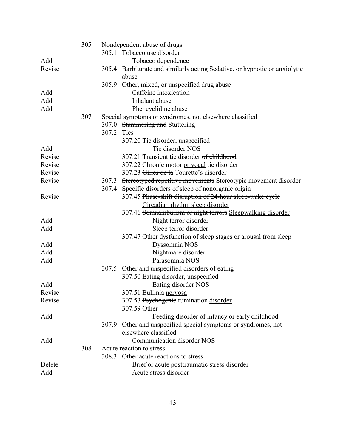|        | 305 | Nondependent abuse of drugs                                                |
|--------|-----|----------------------------------------------------------------------------|
|        |     | 305.1 Tobacco use disorder                                                 |
| Add    |     | Tobacco dependence                                                         |
| Revise |     | 305.4 Barbiturate and similarly acting Sedative, or hypnotic or anxiolytic |
|        |     | abuse                                                                      |
|        |     | 305.9 Other, mixed, or unspecified drug abuse                              |
| Add    |     | Caffeine intoxication                                                      |
| Add    |     | Inhalant abuse                                                             |
| Add    |     | Phencyclidine abuse                                                        |
|        | 307 | Special symptoms or syndromes, not elsewhere classified                    |
|        |     | 307.0 Stammering and Stuttering                                            |
|        |     | 307.2 Tics                                                                 |
|        |     | 307.20 Tic disorder, unspecified                                           |
| Add    |     | Tic disorder NOS                                                           |
| Revise |     | 307.21 Transient tic disorder of childhood                                 |
| Revise |     | 307.22 Chronic motor or vocal tic disorder                                 |
| Revise |     | 307.23 Gilles de la Tourette's disorder                                    |
| Revise |     | 307.3 Stereotyped repetitive movements Stereotypic movement disorder       |
|        |     | Specific disorders of sleep of nonorganic origin<br>307.4                  |
| Revise |     | 307.45 Phase-shift disruption of 24-hour sleep-wake cycle                  |
|        |     | Circadian rhythm sleep disorder                                            |
|        |     | 307.46 Somnambulism or night terrors Sleepwalking disorder                 |
| Add    |     | Night terror disorder                                                      |
| Add    |     | Sleep terror disorder                                                      |
|        |     | 307.47 Other dysfunction of sleep stages or arousal from sleep             |
| Add    |     | Dyssomnia NOS                                                              |
| Add    |     | Nightmare disorder                                                         |
| Add    |     | Parasomnia NOS                                                             |
|        |     | 307.5 Other and unspecified disorders of eating                            |
|        |     | 307.50 Eating disorder, unspecified                                        |
| Add    |     | Eating disorder NOS                                                        |
| Revise |     | 307.51 Bulimia nervosa                                                     |
| Revise |     | 307.53 Psychogenie rumination disorder                                     |
|        |     | 307.59 Other                                                               |
| Add    |     | Feeding disorder of infancy or early childhood                             |
|        |     | 307.9 Other and unspecified special symptoms or syndromes, not             |
|        |     | elsewhere classified                                                       |
| Add    |     | Communication disorder NOS                                                 |
|        | 308 | Acute reaction to stress                                                   |
|        |     | 308.3 Other acute reactions to stress                                      |
| Delete |     | Brief or acute posttraumatic stress disorder                               |
| Add    |     | Acute stress disorder                                                      |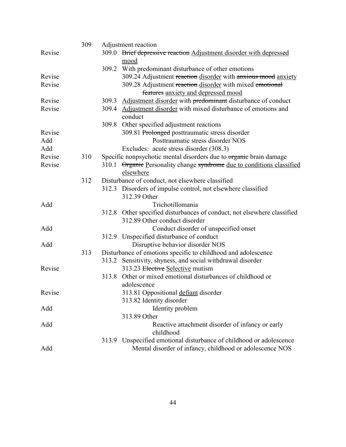|        | 309 |       | Adjustment reaction                                                                 |
|--------|-----|-------|-------------------------------------------------------------------------------------|
| Revise |     |       | 309.0 Brief depressive reaction Adjustment disorder with depressed                  |
|        |     |       | mood                                                                                |
|        |     |       | 309.2 With predominant disturbance of other emotions                                |
| Revise |     |       | 309.24 Adjustment reaction disorder with anxious mood anxiety                       |
| Revise |     |       | 309.28 Adjustment reaction disorder with mixed emotional                            |
|        |     |       | features anxiety and depressed mood                                                 |
| Revise |     |       | 309.3 Adjustment disorder with predominant disturbance of conduct                   |
| Revise |     |       | 309.4 Adjustment disorder with mixed disturbance of emotions and<br>conduct         |
|        |     | 309.8 | Other specified adjustment reactions                                                |
| Revise |     |       | 309.81 Prolonged posttraumatic stress disorder                                      |
| Add    |     |       | Posttraumatic stress disorder NOS                                                   |
| Add    |     |       | Excludes: acute stress disorder (308.3)                                             |
| Revise | 310 |       | Specific nonpsychotic mental disorders due to organic brain damage                  |
| Revise |     |       | 310.1 Organic Personality change syndrome due to conditions classified<br>elsewhere |
|        | 312 |       | Disturbance of conduct, not elsewhere classified                                    |
|        |     |       | 312.3 Disorders of impulse control, not elsewhere classified                        |
|        |     |       | 312.39 Other                                                                        |
| Add    |     |       | Trichotillomania                                                                    |
|        |     |       | 312.8 Other specified disturbances of conduct, not elsewhere classified             |
|        |     |       | 312.89 Other conduct disorder                                                       |
| Add    |     |       | Conduct disorder of unspecified onset                                               |
|        |     |       | 312.9 Unspecified disturbance of conduct                                            |
| Add    |     |       | Disruptive behavior disorder NOS                                                    |
|        | 313 |       | Disturbance of emotions specific to childhood and adolescence                       |
|        |     |       | 313.2 Sensitivity, shyness, and social withdrawal disorder                          |
| Revise |     |       | 313.23 Elective Selective mutism                                                    |
|        |     | 313.8 | Other or mixed emotional disturbances of childhood or                               |
|        |     |       | adolescence                                                                         |
| Revise |     |       | 313.81 Oppositional defiant disorder                                                |
|        |     |       | 313.82 Identity disorder                                                            |
| Add    |     |       | Identity problem                                                                    |
|        |     |       | 313.89 Other                                                                        |
| Add    |     |       | Reactive attachment disorder of infancy or early<br>childhood                       |
|        |     |       | 313.9 Unspecified emotional disturbance of childhood or adolescence                 |
| Add    |     |       | Mental disorder of infancy, childhood or adolescence NOS                            |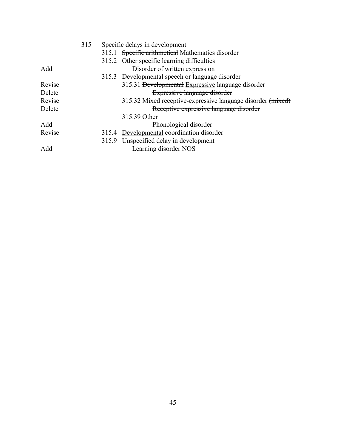|        | 315 | Specific delays in development |                                                             |
|--------|-----|--------------------------------|-------------------------------------------------------------|
|        |     |                                | 315.1 Specific arithmetical Mathematics disorder            |
|        |     |                                | 315.2 Other specific learning difficulties                  |
| Add    |     |                                | Disorder of written expression                              |
|        |     |                                | 315.3 Developmental speech or language disorder             |
| Revise |     |                                | 315.31 Developmental Expressive language disorder           |
| Delete |     |                                | Expressive language disorder                                |
| Revise |     |                                | 315.32 Mixed receptive-expressive language disorder (mixed) |
| Delete |     |                                | Receptive expressive language disorder                      |
|        |     |                                | 315.39 Other                                                |
| Add    |     |                                | Phonological disorder                                       |
| Revise |     |                                | 315.4 Developmental coordination disorder                   |
|        |     |                                | 315.9 Unspecified delay in development                      |
| Add    |     |                                | Learning disorder NOS                                       |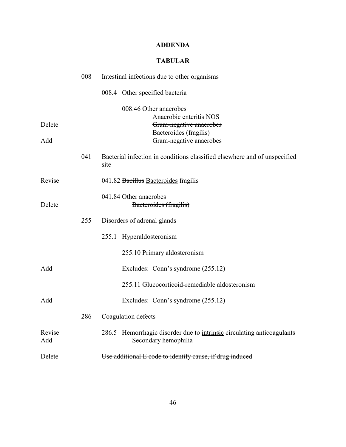# **ADDENDA**

# **TABULAR**

|               | 008 | Intestinal infections due to other organisms                                                   |
|---------------|-----|------------------------------------------------------------------------------------------------|
|               |     | 008.4 Other specified bacteria                                                                 |
|               |     | 008.46 Other anaerobes                                                                         |
| Delete        |     | Anaerobic enteritis NOS<br>Gram-negative anaerobes                                             |
|               |     | Bacteroides (fragilis)                                                                         |
| Add           |     | Gram-negative anaerobes                                                                        |
|               | 041 | Bacterial infection in conditions classified elsewhere and of unspecified<br>site              |
| Revise        |     | 041.82 Bacillus Bacteroides fragilis                                                           |
| Delete        |     | 041.84 Other anaerobes<br>Bacteroides (fragilis)                                               |
|               | 255 | Disorders of adrenal glands                                                                    |
|               |     | 255.1 Hyperaldosteronism                                                                       |
|               |     | 255.10 Primary aldosteronism                                                                   |
| Add           |     | Excludes: Conn's syndrome (255.12)                                                             |
|               |     | 255.11 Glucocorticoid-remediable aldosteronism                                                 |
| Add           |     | Excludes: Conn's syndrome (255.12)                                                             |
|               | 286 | Coagulation defects                                                                            |
| Revise<br>Add |     | 286.5 Hemorrhagic disorder due to intrinsic circulating anticoagulants<br>Secondary hemophilia |
| Delete        |     | Use additional E code to identify cause, if drug induced                                       |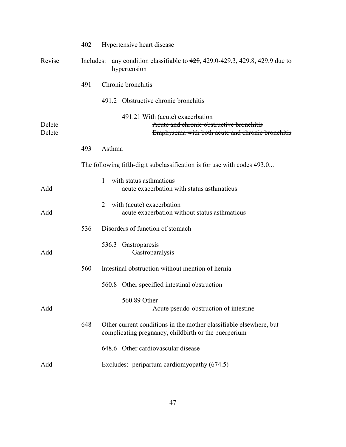|                  | 402                                                                     | Hypertensive heart disease                                                                                                       |  |
|------------------|-------------------------------------------------------------------------|----------------------------------------------------------------------------------------------------------------------------------|--|
| Revise           | Includes:                                                               | any condition classifiable to $428$ , 429.0-429.3, 429.8, 429.9 due to<br>hypertension                                           |  |
|                  | 491                                                                     | Chronic bronchitis                                                                                                               |  |
|                  |                                                                         | 491.2 Obstructive chronic bronchitis                                                                                             |  |
| Delete<br>Delete |                                                                         | 491.21 With (acute) exacerbation<br>Acute and chronic obstructive bronchitis<br>Emphysema with both acute and chronic bronchitis |  |
|                  | 493                                                                     | Asthma                                                                                                                           |  |
|                  | The following fifth-digit subclassification is for use with codes 493.0 |                                                                                                                                  |  |
| Add              |                                                                         | with status asthmaticus<br>1<br>acute exacerbation with status asthmaticus                                                       |  |
| Add              |                                                                         | with (acute) exacerbation<br>2<br>acute exacerbation without status asthmaticus                                                  |  |
|                  | 536                                                                     | Disorders of function of stomach                                                                                                 |  |
| Add              |                                                                         | 536.3 Gastroparesis<br>Gastroparalysis                                                                                           |  |
|                  | 560                                                                     | Intestinal obstruction without mention of hernia                                                                                 |  |
|                  |                                                                         | 560.8 Other specified intestinal obstruction                                                                                     |  |
| Add              |                                                                         | 560.89 Other<br>Acute pseudo-obstruction of intestine                                                                            |  |
|                  | 648                                                                     | Other current conditions in the mother classifiable elsewhere, but<br>complicating pregnancy, childbirth or the puerperium       |  |
|                  |                                                                         | 648.6 Other cardiovascular disease                                                                                               |  |
| Add              |                                                                         | Excludes: peripartum cardiomyopathy (674.5)                                                                                      |  |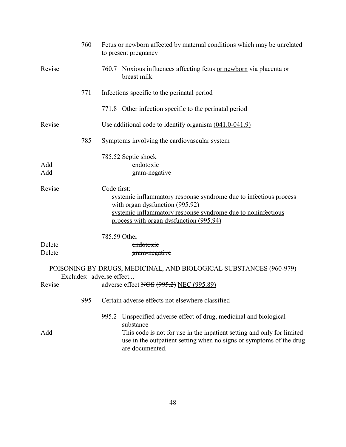|                  | 760 | Fetus or newborn affected by maternal conditions which may be unrelated<br>to present pregnancy                                                                                                                                                        |
|------------------|-----|--------------------------------------------------------------------------------------------------------------------------------------------------------------------------------------------------------------------------------------------------------|
| Revise           |     | 760.7 Noxious influences affecting fetus or newborn via placenta or<br>breast milk                                                                                                                                                                     |
|                  | 771 | Infections specific to the perinatal period                                                                                                                                                                                                            |
|                  |     | 771.8 Other infection specific to the perinatal period                                                                                                                                                                                                 |
| Revise           |     | Use additional code to identify organism $(041.0-041.9)$                                                                                                                                                                                               |
|                  | 785 | Symptoms involving the cardiovascular system                                                                                                                                                                                                           |
| Add<br>Add       |     | 785.52 Septic shock<br>endotoxic<br>gram-negative                                                                                                                                                                                                      |
| Revise           |     | Code first:<br>systemic inflammatory response syndrome due to infectious process<br>with organ dysfunction (995.92)<br>systemic inflammatory response syndrome due to noninfectious<br>process with organ dysfunction (995.94)                         |
|                  |     | 785.59 Other                                                                                                                                                                                                                                           |
| Delete<br>Delete |     | endotoxic<br>gram-negative                                                                                                                                                                                                                             |
| Revise           |     | POISONING BY DRUGS, MEDICINAL, AND BIOLOGICAL SUBSTANCES (960-979)<br>Excludes: adverse effect<br>adverse effect NOS (995.2) NEC (995.89)                                                                                                              |
|                  | 995 | Certain adverse effects not elsewhere classified                                                                                                                                                                                                       |
| Add              |     | Unspecified adverse effect of drug, medicinal and biological<br>995.2<br>substance<br>This code is not for use in the inpatient setting and only for limited<br>use in the outpatient setting when no signs or symptoms of the drug<br>are documented. |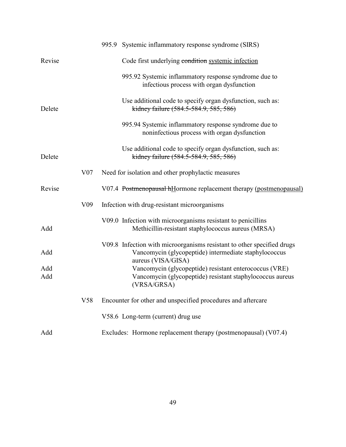|            |                 | 995.9 Systemic inflammatory response syndrome (SIRS)                                                                                                  |
|------------|-----------------|-------------------------------------------------------------------------------------------------------------------------------------------------------|
| Revise     |                 | Code first underlying condition systemic infection                                                                                                    |
|            |                 | 995.92 Systemic inflammatory response syndrome due to<br>infectious process with organ dysfunction                                                    |
| Delete     |                 | Use additional code to specify organ dysfunction, such as:<br>kidney failure (584.5-584.9, 585, 586)                                                  |
|            |                 | 995.94 Systemic inflammatory response syndrome due to<br>noninfectious process with organ dysfunction                                                 |
| Delete     |                 | Use additional code to specify organ dysfunction, such as:<br>kidney failure (584.5-584.9, 585, 586)                                                  |
|            | V <sub>07</sub> | Need for isolation and other prophylactic measures                                                                                                    |
| Revise     |                 | V07.4 Postmenopausal hHormone replacement therapy (postmenopausal)                                                                                    |
|            | V <sub>09</sub> | Infection with drug-resistant microorganisms                                                                                                          |
| Add        |                 | V09.0 Infection with microorganisms resistant to penicillins<br>Methicillin-resistant staphylococcus aureus (MRSA)                                    |
| Add        |                 | V09.8 Infection with microorganisms resistant to other specified drugs<br>Vancomycin (glycopeptide) intermediate staphylococcus<br>aureus (VISA/GISA) |
| Add<br>Add |                 | Vancomycin (glycopeptide) resistant enterococcus (VRE)<br>Vancomycin (glycopeptide) resistant staphylococcus aureus<br>(VRSA/GRSA)                    |
|            | V <sub>58</sub> | Encounter for other and unspecified procedures and aftercare                                                                                          |
|            |                 | V58.6 Long-term (current) drug use                                                                                                                    |
| Add        |                 | Excludes: Hormone replacement therapy (postmenopausal) (V07.4)                                                                                        |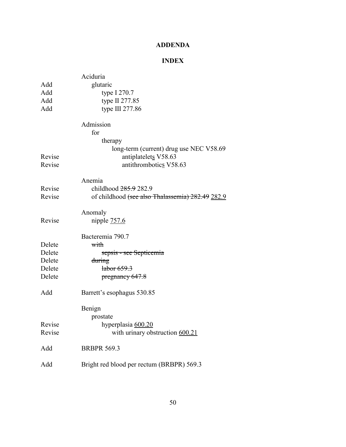# **ADDENDA**

# **INDEX**

|        | Aciduria                                         |
|--------|--------------------------------------------------|
| Add    | glutaric                                         |
| Add    | type I 270.7                                     |
| Add    | type II 277.85                                   |
| Add    | type III 277.86                                  |
|        | Admission                                        |
|        | for                                              |
|        | therapy                                          |
|        | long-term (current) drug use NEC V58.69          |
| Revise | antiplatelets V58.63                             |
| Revise | antithrombotics V58.63                           |
|        | Anemia                                           |
| Revise | childhood 285.9 282.9                            |
| Revise | of childhood (see also Thalassemia) 282.49 282.9 |
|        | Anomaly                                          |
| Revise | nipple $757.6$                                   |
|        | Bacteremia 790.7                                 |
| Delete | with                                             |
| Delete | sepsis - see Septicemia                          |
| Delete | during                                           |
| Delete | <del>labor 659.3</del>                           |
| Delete | pregnancy 647.8                                  |
| Add    | Barrett's esophagus 530.85                       |
|        | Benign                                           |
|        | prostate                                         |
| Revise | hyperplasia 600.20                               |
| Revise | with urinary obstruction 600.21                  |
| Add    | <b>BRBPR 569.3</b>                               |
| Add    | Bright red blood per rectum (BRBPR) 569.3        |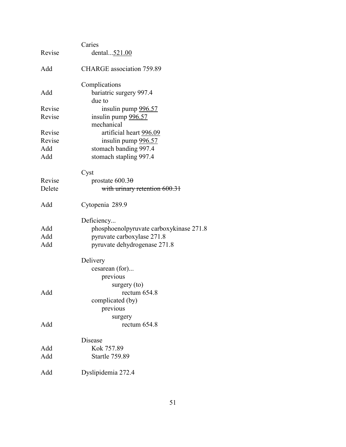|        | Caries                                  |
|--------|-----------------------------------------|
| Revise | dental521.00                            |
| Add    | <b>CHARGE</b> association 759.89        |
|        | Complications                           |
| Add    | bariatric surgery 997.4<br>due to       |
| Revise | insulin pump 996.57                     |
| Revise | insulin pump 996.57                     |
|        | mechanical                              |
| Revise | artificial heart 996.09                 |
| Revise | insulin pump 996.57                     |
| Add    | stomach banding 997.4                   |
| Add    | stomach stapling 997.4                  |
|        | Cyst                                    |
| Revise | prostate $600.3\theta$                  |
| Delete | with urinary retention 600.31           |
| Add    | Cytopenia 289.9                         |
|        | Deficiency                              |
| Add    | phosphoenolpyruvate carboxykinase 271.8 |
| Add    | pyruvate carboxylase 271.8              |
| Add    | pyruvate dehydrogenase 271.8            |
|        | Delivery                                |
|        | cesarean (for)                          |
|        | previous                                |
|        | surgery $(to)$                          |
| Add    | rectum 654.8                            |
|        | complicated (by)                        |
|        | previous                                |
| Add    | surgery<br>rectum 654.8                 |
|        |                                         |
|        | Disease                                 |
| Add    | Kok 757.89                              |
| Add    | <b>Startle 759.89</b>                   |
| Add    | Dyslipidemia 272.4                      |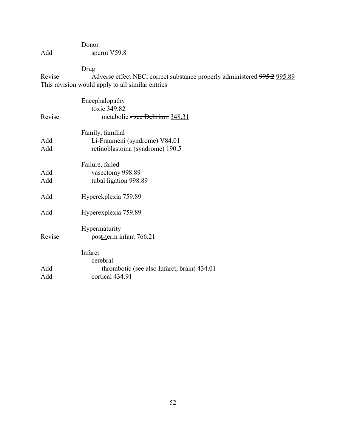# Donor Add sperm V59.8

Drug

Adverse effect NEC, correct substance properly administered  $995.2$   $995.89$ This revision would apply to all similar entries Revise

| Revise     | Encephalopathy<br>toxic 349.82<br>metabolic <del>- see Delirium</del> 348.31          |
|------------|---------------------------------------------------------------------------------------|
| Add<br>Add | Family, familial<br>Li-Fraumeni (syndrome) V84.01<br>retinoblastoma (syndrome) 190.5  |
| Add<br>Add | Failure, failed<br>vasectomy 998.89<br>tubal ligation 998.89                          |
| Add        | Hyperekplexia 759.89                                                                  |
| Add        | Hyperexplexia 759.89                                                                  |
| Revise     | Hypermaturity<br>post-term infant 766.21                                              |
| Add<br>Add | Infarct<br>cerebral<br>thrombotic (see also Infarct, brain) 434.01<br>cortical 434.91 |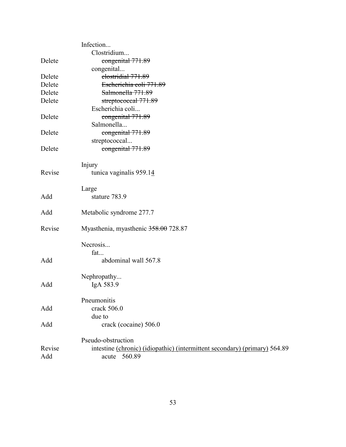|        | Infection                                                                  |
|--------|----------------------------------------------------------------------------|
|        | Clostridium                                                                |
| Delete | congenital 771.89                                                          |
|        | congenital                                                                 |
| Delete | clostridial 771.89                                                         |
| Delete | Escherichia coli 771.89                                                    |
| Delete | Salmonella 771.89                                                          |
| Delete | streptococcal 771.89<br>Escherichia coli                                   |
| Delete | congenital 771.89                                                          |
|        | Salmonella                                                                 |
| Delete | congenital 771.89                                                          |
|        | streptococcal                                                              |
| Delete | congenital 771.89                                                          |
|        | Injury                                                                     |
| Revise | tunica vaginalis 959.14                                                    |
|        | Large                                                                      |
| Add    | stature 783.9                                                              |
| Add    | Metabolic syndrome 277.7                                                   |
| Revise | Myasthenia, myasthenic 358.00 728.87                                       |
|        | Necrosis                                                                   |
|        | fat                                                                        |
| Add    | abdominal wall 567.8                                                       |
|        | Nephropathy                                                                |
| Add    | IgA 583.9                                                                  |
|        | Pneumonitis                                                                |
| Add    | crack 506.0                                                                |
|        | due to                                                                     |
| Add    | crack (cocaine) 506.0                                                      |
|        | Pseudo-obstruction                                                         |
| Revise | intestine (chronic) (idiopathic) (intermittent secondary) (primary) 564.89 |
| Add    | 560.89<br>acute                                                            |